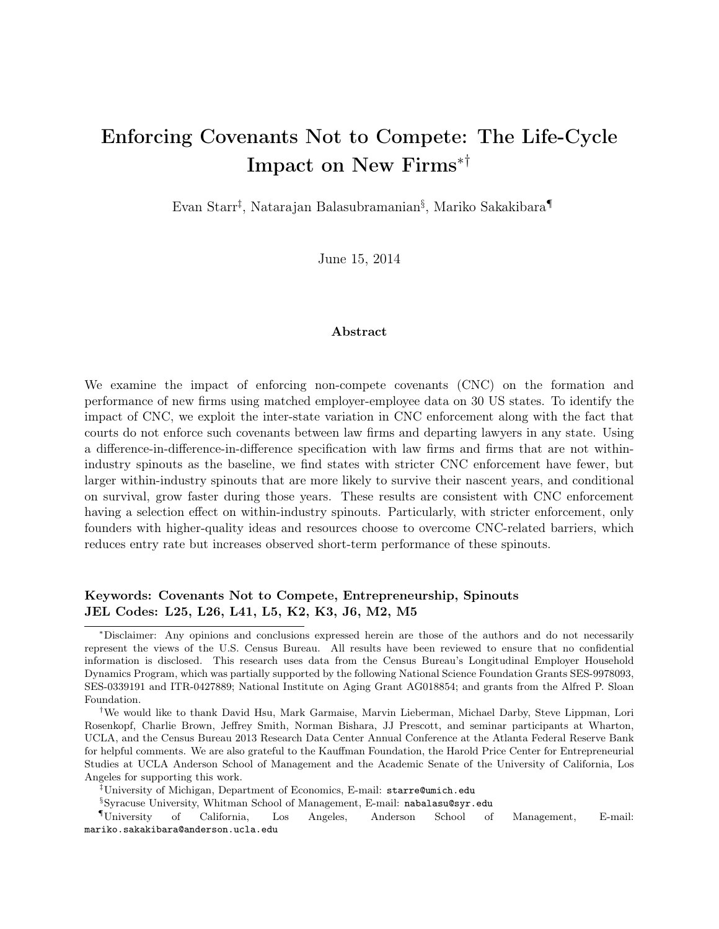# Enforcing Covenants Not to Compete: The Life-Cycle Impact on New Firms∗†

Evan Starr‡ , Natarajan Balasubramanian§ , Mariko Sakakibara¶

June 15, 2014

# Abstract

We examine the impact of enforcing non-compete covenants (CNC) on the formation and performance of new firms using matched employer-employee data on 30 US states. To identify the impact of CNC, we exploit the inter-state variation in CNC enforcement along with the fact that courts do not enforce such covenants between law firms and departing lawyers in any state. Using a difference-in-difference-in-difference specification with law firms and firms that are not withinindustry spinouts as the baseline, we find states with stricter CNC enforcement have fewer, but larger within-industry spinouts that are more likely to survive their nascent years, and conditional on survival, grow faster during those years. These results are consistent with CNC enforcement having a selection effect on within-industry spinouts. Particularly, with stricter enforcement, only founders with higher-quality ideas and resources choose to overcome CNC-related barriers, which reduces entry rate but increases observed short-term performance of these spinouts.

# Keywords: Covenants Not to Compete, Entrepreneurship, Spinouts JEL Codes: L25, L26, L41, L5, K2, K3, J6, M2, M5

<sup>∗</sup>Disclaimer: Any opinions and conclusions expressed herein are those of the authors and do not necessarily represent the views of the U.S. Census Bureau. All results have been reviewed to ensure that no confidential information is disclosed. This research uses data from the Census Bureau's Longitudinal Employer Household Dynamics Program, which was partially supported by the following National Science Foundation Grants SES-9978093, SES-0339191 and ITR-0427889; National Institute on Aging Grant AG018854; and grants from the Alfred P. Sloan Foundation.

<sup>†</sup>We would like to thank David Hsu, Mark Garmaise, Marvin Lieberman, Michael Darby, Steve Lippman, Lori Rosenkopf, Charlie Brown, Jeffrey Smith, Norman Bishara, JJ Prescott, and seminar participants at Wharton, UCLA, and the Census Bureau 2013 Research Data Center Annual Conference at the Atlanta Federal Reserve Bank for helpful comments. We are also grateful to the Kauffman Foundation, the Harold Price Center for Entrepreneurial Studies at UCLA Anderson School of Management and the Academic Senate of the University of California, Los Angeles for supporting this work.

<sup>‡</sup>University of Michigan, Department of Economics, E-mail: starre@umich.edu

<sup>§</sup>Syracuse University, Whitman School of Management, E-mail: nabalasu@syr.edu

<sup>¶</sup>University of California, Los Angeles, Anderson School of Management, E-mail: mariko.sakakibara@anderson.ucla.edu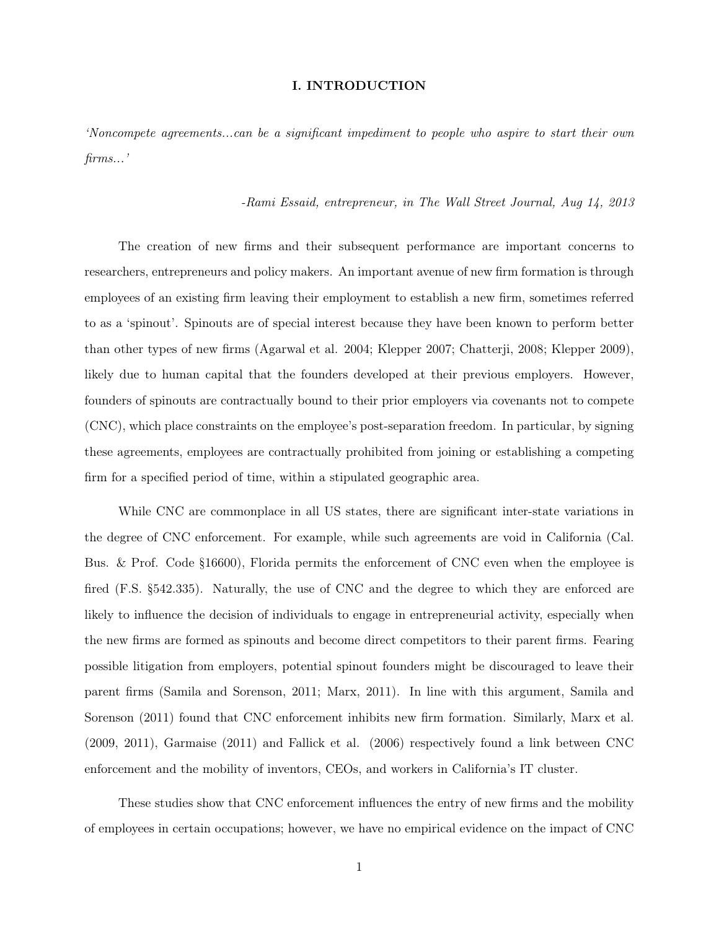## I. INTRODUCTION

'Noncompete agreements...can be a significant impediment to people who aspire to start their own firms...'

## -Rami Essaid, entrepreneur, in The Wall Street Journal, Aug 14, 2013

The creation of new firms and their subsequent performance are important concerns to researchers, entrepreneurs and policy makers. An important avenue of new firm formation is through employees of an existing firm leaving their employment to establish a new firm, sometimes referred to as a 'spinout'. Spinouts are of special interest because they have been known to perform better than other types of new firms (Agarwal et al. 2004; Klepper 2007; Chatterji, 2008; Klepper 2009), likely due to human capital that the founders developed at their previous employers. However, founders of spinouts are contractually bound to their prior employers via covenants not to compete (CNC), which place constraints on the employee's post-separation freedom. In particular, by signing these agreements, employees are contractually prohibited from joining or establishing a competing firm for a specified period of time, within a stipulated geographic area.

While CNC are commonplace in all US states, there are significant inter-state variations in the degree of CNC enforcement. For example, while such agreements are void in California (Cal. Bus. & Prof. Code §16600), Florida permits the enforcement of CNC even when the employee is fired (F.S. §542.335). Naturally, the use of CNC and the degree to which they are enforced are likely to influence the decision of individuals to engage in entrepreneurial activity, especially when the new firms are formed as spinouts and become direct competitors to their parent firms. Fearing possible litigation from employers, potential spinout founders might be discouraged to leave their parent firms (Samila and Sorenson, 2011; Marx, 2011). In line with this argument, Samila and Sorenson (2011) found that CNC enforcement inhibits new firm formation. Similarly, Marx et al. (2009, 2011), Garmaise (2011) and Fallick et al. (2006) respectively found a link between CNC enforcement and the mobility of inventors, CEOs, and workers in California's IT cluster.

These studies show that CNC enforcement influences the entry of new firms and the mobility of employees in certain occupations; however, we have no empirical evidence on the impact of CNC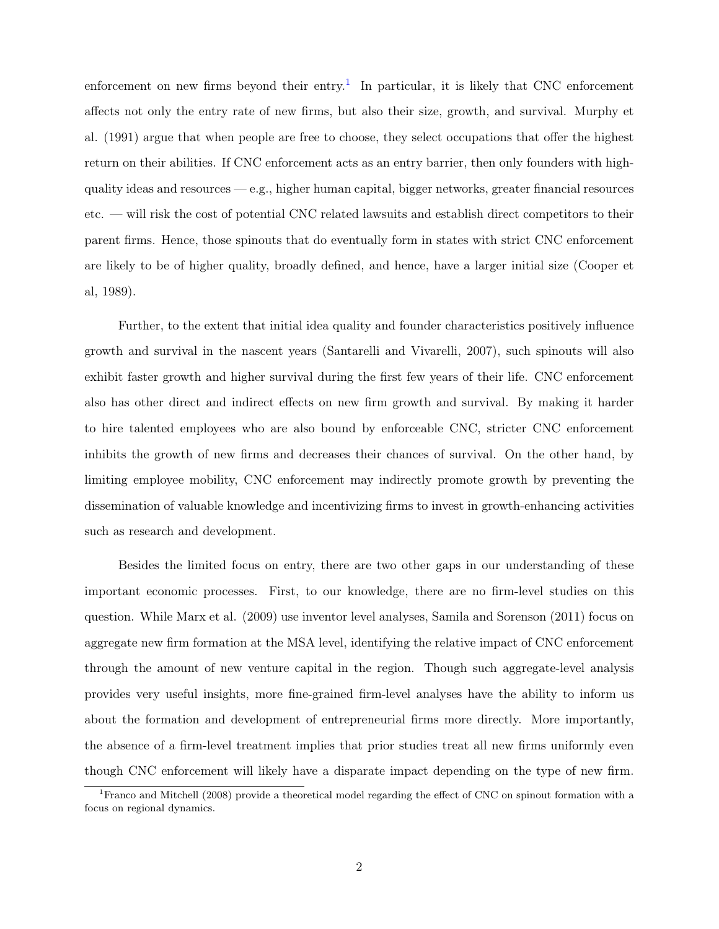enforcement on new firms beyond their entry.<sup>[1](#page-2-0)</sup> In particular, it is likely that CNC enforcement affects not only the entry rate of new firms, but also their size, growth, and survival. Murphy et al. (1991) argue that when people are free to choose, they select occupations that offer the highest return on their abilities. If CNC enforcement acts as an entry barrier, then only founders with highquality ideas and resources — e.g., higher human capital, bigger networks, greater financial resources etc. — will risk the cost of potential CNC related lawsuits and establish direct competitors to their parent firms. Hence, those spinouts that do eventually form in states with strict CNC enforcement are likely to be of higher quality, broadly defined, and hence, have a larger initial size (Cooper et al, 1989).

Further, to the extent that initial idea quality and founder characteristics positively influence growth and survival in the nascent years (Santarelli and Vivarelli, 2007), such spinouts will also exhibit faster growth and higher survival during the first few years of their life. CNC enforcement also has other direct and indirect effects on new firm growth and survival. By making it harder to hire talented employees who are also bound by enforceable CNC, stricter CNC enforcement inhibits the growth of new firms and decreases their chances of survival. On the other hand, by limiting employee mobility, CNC enforcement may indirectly promote growth by preventing the dissemination of valuable knowledge and incentivizing firms to invest in growth-enhancing activities such as research and development.

Besides the limited focus on entry, there are two other gaps in our understanding of these important economic processes. First, to our knowledge, there are no firm-level studies on this question. While Marx et al. (2009) use inventor level analyses, Samila and Sorenson (2011) focus on aggregate new firm formation at the MSA level, identifying the relative impact of CNC enforcement through the amount of new venture capital in the region. Though such aggregate-level analysis provides very useful insights, more fine-grained firm-level analyses have the ability to inform us about the formation and development of entrepreneurial firms more directly. More importantly, the absence of a firm-level treatment implies that prior studies treat all new firms uniformly even though CNC enforcement will likely have a disparate impact depending on the type of new firm.

<span id="page-2-0"></span><sup>&</sup>lt;sup>1</sup>Franco and Mitchell (2008) provide a theoretical model regarding the effect of CNC on spinout formation with a focus on regional dynamics.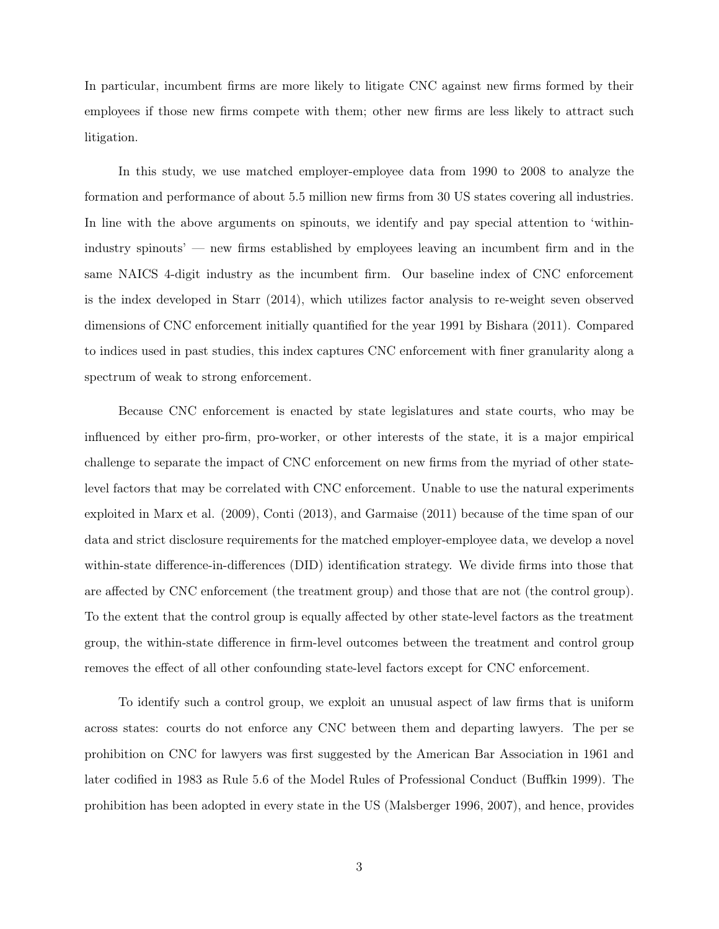In particular, incumbent firms are more likely to litigate CNC against new firms formed by their employees if those new firms compete with them; other new firms are less likely to attract such litigation.

In this study, we use matched employer-employee data from 1990 to 2008 to analyze the formation and performance of about 5.5 million new firms from 30 US states covering all industries. In line with the above arguments on spinouts, we identify and pay special attention to 'withinindustry spinouts' — new firms established by employees leaving an incumbent firm and in the same NAICS 4-digit industry as the incumbent firm. Our baseline index of CNC enforcement is the index developed in Starr (2014), which utilizes factor analysis to re-weight seven observed dimensions of CNC enforcement initially quantified for the year 1991 by Bishara (2011). Compared to indices used in past studies, this index captures CNC enforcement with finer granularity along a spectrum of weak to strong enforcement.

Because CNC enforcement is enacted by state legislatures and state courts, who may be influenced by either pro-firm, pro-worker, or other interests of the state, it is a major empirical challenge to separate the impact of CNC enforcement on new firms from the myriad of other statelevel factors that may be correlated with CNC enforcement. Unable to use the natural experiments exploited in Marx et al. (2009), Conti (2013), and Garmaise (2011) because of the time span of our data and strict disclosure requirements for the matched employer-employee data, we develop a novel within-state difference-in-differences (DID) identification strategy. We divide firms into those that are affected by CNC enforcement (the treatment group) and those that are not (the control group). To the extent that the control group is equally affected by other state-level factors as the treatment group, the within-state difference in firm-level outcomes between the treatment and control group removes the effect of all other confounding state-level factors except for CNC enforcement.

To identify such a control group, we exploit an unusual aspect of law firms that is uniform across states: courts do not enforce any CNC between them and departing lawyers. The per se prohibition on CNC for lawyers was first suggested by the American Bar Association in 1961 and later codified in 1983 as Rule 5.6 of the Model Rules of Professional Conduct (Buffkin 1999). The prohibition has been adopted in every state in the US (Malsberger 1996, 2007), and hence, provides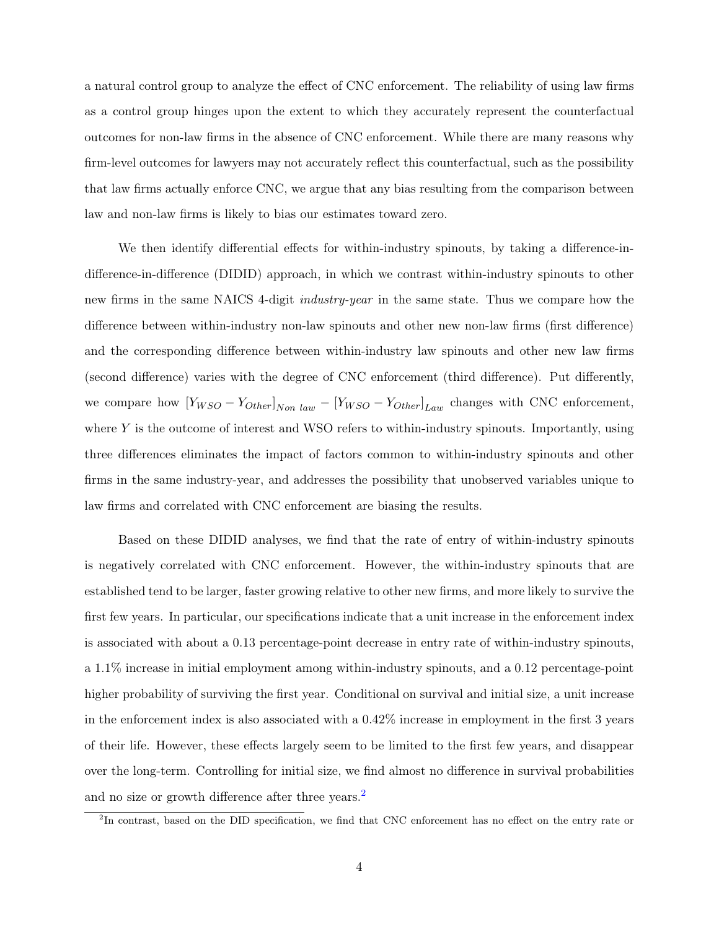a natural control group to analyze the effect of CNC enforcement. The reliability of using law firms as a control group hinges upon the extent to which they accurately represent the counterfactual outcomes for non-law firms in the absence of CNC enforcement. While there are many reasons why firm-level outcomes for lawyers may not accurately reflect this counterfactual, such as the possibility that law firms actually enforce CNC, we argue that any bias resulting from the comparison between law and non-law firms is likely to bias our estimates toward zero.

We then identify differential effects for within-industry spinouts, by taking a difference-indifference-in-difference (DIDID) approach, in which we contrast within-industry spinouts to other new firms in the same NAICS 4-digit *industry-year* in the same state. Thus we compare how the difference between within-industry non-law spinouts and other new non-law firms (first difference) and the corresponding difference between within-industry law spinouts and other new law firms (second difference) varies with the degree of CNC enforcement (third difference). Put differently, we compare how  $[Y_{WSO} - Y_{Other}]_{Non \ law} - [Y_{WSO} - Y_{Other}]_{Law}$  changes with CNC enforcement, where  $Y$  is the outcome of interest and WSO refers to within-industry spinouts. Importantly, using three differences eliminates the impact of factors common to within-industry spinouts and other firms in the same industry-year, and addresses the possibility that unobserved variables unique to law firms and correlated with CNC enforcement are biasing the results.

Based on these DIDID analyses, we find that the rate of entry of within-industry spinouts is negatively correlated with CNC enforcement. However, the within-industry spinouts that are established tend to be larger, faster growing relative to other new firms, and more likely to survive the first few years. In particular, our specifications indicate that a unit increase in the enforcement index is associated with about a 0.13 percentage-point decrease in entry rate of within-industry spinouts, a 1.1% increase in initial employment among within-industry spinouts, and a 0.12 percentage-point higher probability of surviving the first year. Conditional on survival and initial size, a unit increase in the enforcement index is also associated with a 0.42% increase in employment in the first 3 years of their life. However, these effects largely seem to be limited to the first few years, and disappear over the long-term. Controlling for initial size, we find almost no difference in survival probabilities and no size or growth difference after three years.[2](#page-4-0)

<span id="page-4-0"></span><sup>&</sup>lt;sup>2</sup>In contrast, based on the DID specification, we find that CNC enforcement has no effect on the entry rate or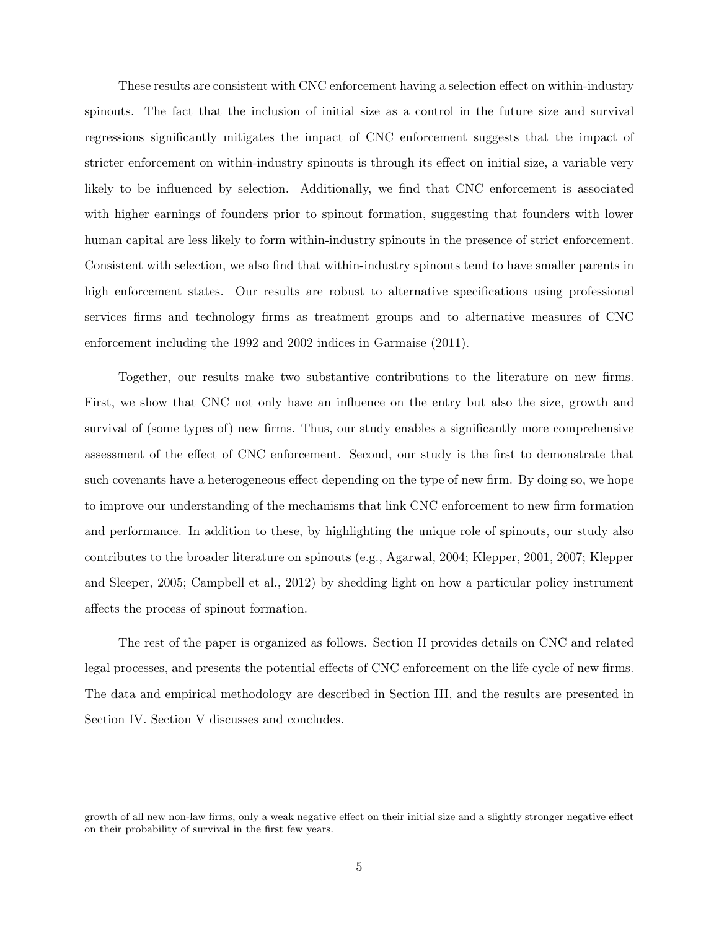These results are consistent with CNC enforcement having a selection effect on within-industry spinouts. The fact that the inclusion of initial size as a control in the future size and survival regressions significantly mitigates the impact of CNC enforcement suggests that the impact of stricter enforcement on within-industry spinouts is through its effect on initial size, a variable very likely to be influenced by selection. Additionally, we find that CNC enforcement is associated with higher earnings of founders prior to spinout formation, suggesting that founders with lower human capital are less likely to form within-industry spinouts in the presence of strict enforcement. Consistent with selection, we also find that within-industry spinouts tend to have smaller parents in high enforcement states. Our results are robust to alternative specifications using professional services firms and technology firms as treatment groups and to alternative measures of CNC enforcement including the 1992 and 2002 indices in Garmaise (2011).

Together, our results make two substantive contributions to the literature on new firms. First, we show that CNC not only have an influence on the entry but also the size, growth and survival of (some types of) new firms. Thus, our study enables a significantly more comprehensive assessment of the effect of CNC enforcement. Second, our study is the first to demonstrate that such covenants have a heterogeneous effect depending on the type of new firm. By doing so, we hope to improve our understanding of the mechanisms that link CNC enforcement to new firm formation and performance. In addition to these, by highlighting the unique role of spinouts, our study also contributes to the broader literature on spinouts (e.g., Agarwal, 2004; Klepper, 2001, 2007; Klepper and Sleeper, 2005; Campbell et al., 2012) by shedding light on how a particular policy instrument affects the process of spinout formation.

The rest of the paper is organized as follows. Section II provides details on CNC and related legal processes, and presents the potential effects of CNC enforcement on the life cycle of new firms. The data and empirical methodology are described in Section III, and the results are presented in Section IV. Section V discusses and concludes.

growth of all new non-law firms, only a weak negative effect on their initial size and a slightly stronger negative effect on their probability of survival in the first few years.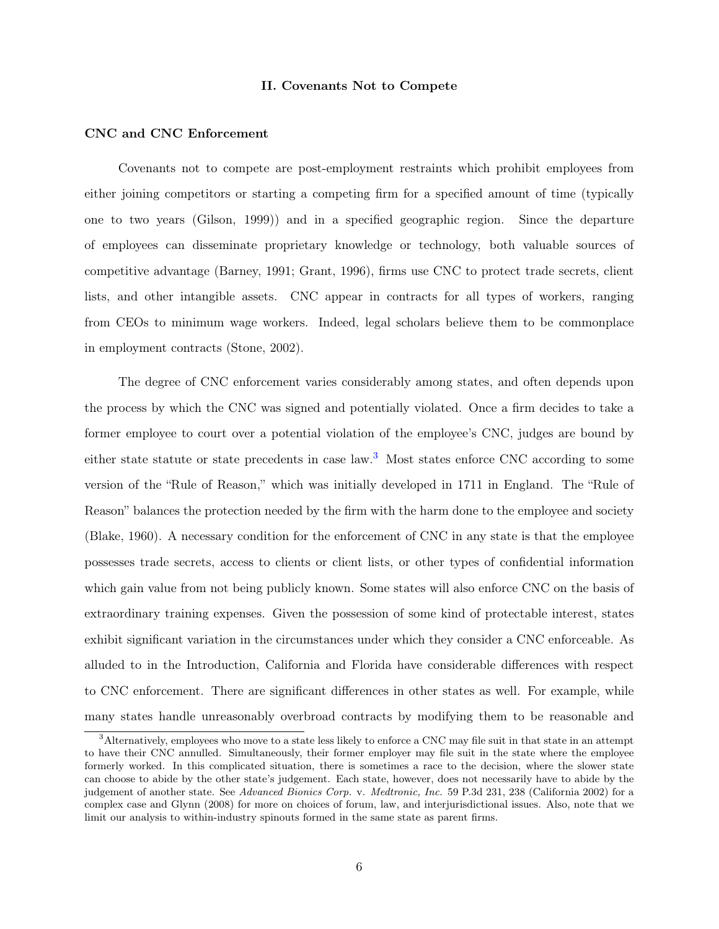#### II. Covenants Not to Compete

### CNC and CNC Enforcement

Covenants not to compete are post-employment restraints which prohibit employees from either joining competitors or starting a competing firm for a specified amount of time (typically one to two years (Gilson, 1999)) and in a specified geographic region. Since the departure of employees can disseminate proprietary knowledge or technology, both valuable sources of competitive advantage (Barney, 1991; Grant, 1996), firms use CNC to protect trade secrets, client lists, and other intangible assets. CNC appear in contracts for all types of workers, ranging from CEOs to minimum wage workers. Indeed, legal scholars believe them to be commonplace in employment contracts (Stone, 2002).

The degree of CNC enforcement varies considerably among states, and often depends upon the process by which the CNC was signed and potentially violated. Once a firm decides to take a former employee to court over a potential violation of the employee's CNC, judges are bound by either state statute or state precedents in case law.<sup>[3](#page-6-0)</sup> Most states enforce CNC according to some version of the "Rule of Reason," which was initially developed in 1711 in England. The "Rule of Reason" balances the protection needed by the firm with the harm done to the employee and society (Blake, 1960). A necessary condition for the enforcement of CNC in any state is that the employee possesses trade secrets, access to clients or client lists, or other types of confidential information which gain value from not being publicly known. Some states will also enforce CNC on the basis of extraordinary training expenses. Given the possession of some kind of protectable interest, states exhibit significant variation in the circumstances under which they consider a CNC enforceable. As alluded to in the Introduction, California and Florida have considerable differences with respect to CNC enforcement. There are significant differences in other states as well. For example, while many states handle unreasonably overbroad contracts by modifying them to be reasonable and

<span id="page-6-0"></span><sup>3</sup>Alternatively, employees who move to a state less likely to enforce a CNC may file suit in that state in an attempt to have their CNC annulled. Simultaneously, their former employer may file suit in the state where the employee formerly worked. In this complicated situation, there is sometimes a race to the decision, where the slower state can choose to abide by the other state's judgement. Each state, however, does not necessarily have to abide by the judgement of another state. See Advanced Bionics Corp. v. Medtronic, Inc. 59 P.3d 231, 238 (California 2002) for a complex case and Glynn (2008) for more on choices of forum, law, and interjurisdictional issues. Also, note that we limit our analysis to within-industry spinouts formed in the same state as parent firms.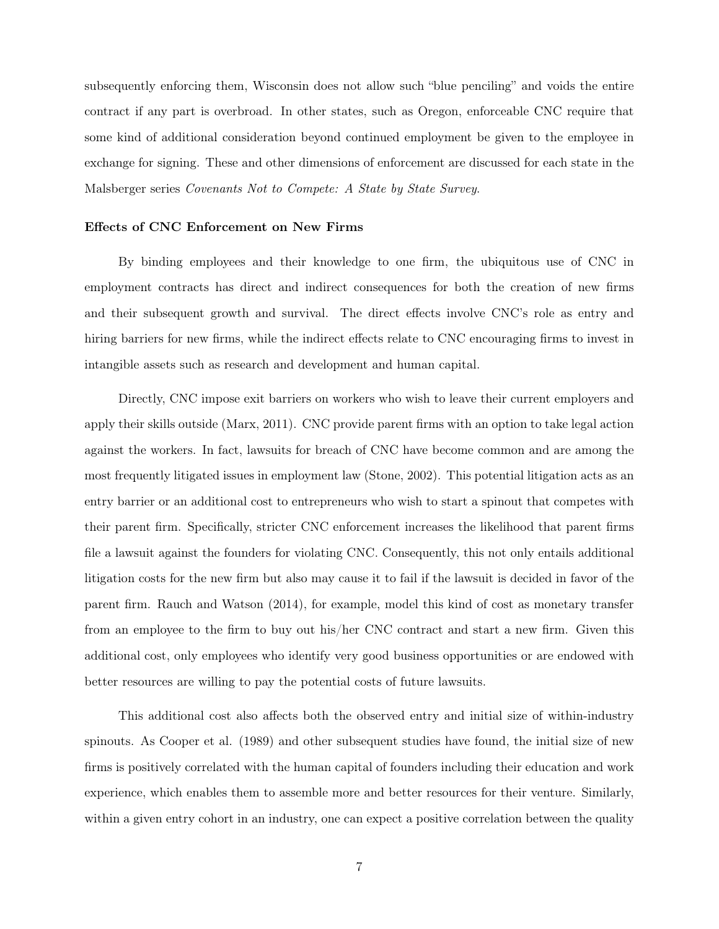subsequently enforcing them, Wisconsin does not allow such "blue penciling" and voids the entire contract if any part is overbroad. In other states, such as Oregon, enforceable CNC require that some kind of additional consideration beyond continued employment be given to the employee in exchange for signing. These and other dimensions of enforcement are discussed for each state in the Malsberger series Covenants Not to Compete: A State by State Survey.

## Effects of CNC Enforcement on New Firms

By binding employees and their knowledge to one firm, the ubiquitous use of CNC in employment contracts has direct and indirect consequences for both the creation of new firms and their subsequent growth and survival. The direct effects involve CNC's role as entry and hiring barriers for new firms, while the indirect effects relate to CNC encouraging firms to invest in intangible assets such as research and development and human capital.

Directly, CNC impose exit barriers on workers who wish to leave their current employers and apply their skills outside (Marx, 2011). CNC provide parent firms with an option to take legal action against the workers. In fact, lawsuits for breach of CNC have become common and are among the most frequently litigated issues in employment law (Stone, 2002). This potential litigation acts as an entry barrier or an additional cost to entrepreneurs who wish to start a spinout that competes with their parent firm. Specifically, stricter CNC enforcement increases the likelihood that parent firms file a lawsuit against the founders for violating CNC. Consequently, this not only entails additional litigation costs for the new firm but also may cause it to fail if the lawsuit is decided in favor of the parent firm. Rauch and Watson (2014), for example, model this kind of cost as monetary transfer from an employee to the firm to buy out his/her CNC contract and start a new firm. Given this additional cost, only employees who identify very good business opportunities or are endowed with better resources are willing to pay the potential costs of future lawsuits.

This additional cost also affects both the observed entry and initial size of within-industry spinouts. As Cooper et al. (1989) and other subsequent studies have found, the initial size of new firms is positively correlated with the human capital of founders including their education and work experience, which enables them to assemble more and better resources for their venture. Similarly, within a given entry cohort in an industry, one can expect a positive correlation between the quality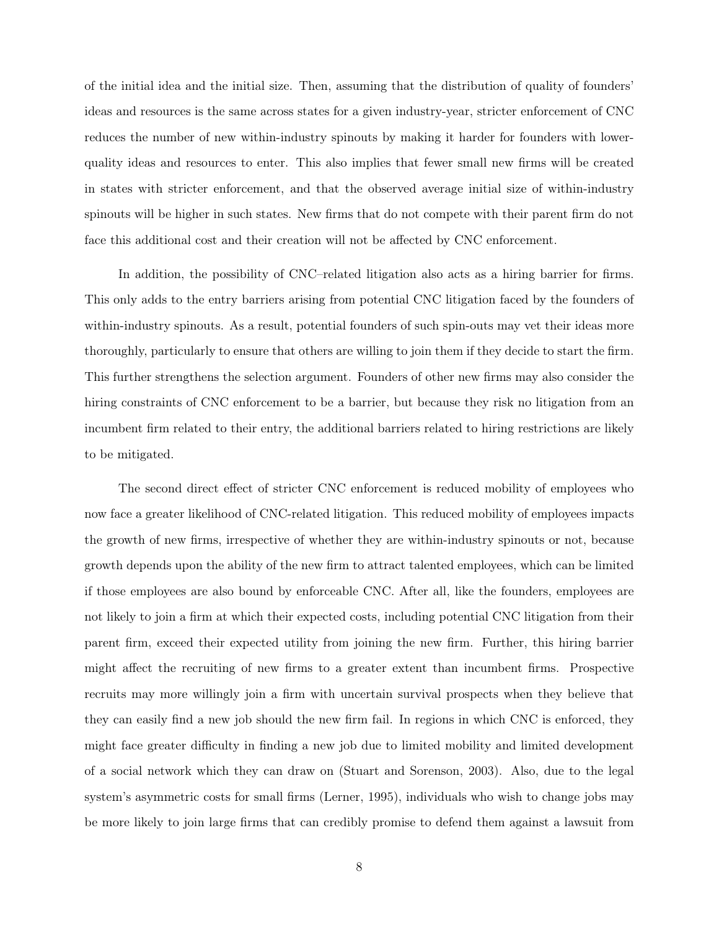of the initial idea and the initial size. Then, assuming that the distribution of quality of founders' ideas and resources is the same across states for a given industry-year, stricter enforcement of CNC reduces the number of new within-industry spinouts by making it harder for founders with lowerquality ideas and resources to enter. This also implies that fewer small new firms will be created in states with stricter enforcement, and that the observed average initial size of within-industry spinouts will be higher in such states. New firms that do not compete with their parent firm do not face this additional cost and their creation will not be affected by CNC enforcement.

In addition, the possibility of CNC–related litigation also acts as a hiring barrier for firms. This only adds to the entry barriers arising from potential CNC litigation faced by the founders of within-industry spinouts. As a result, potential founders of such spin-outs may vet their ideas more thoroughly, particularly to ensure that others are willing to join them if they decide to start the firm. This further strengthens the selection argument. Founders of other new firms may also consider the hiring constraints of CNC enforcement to be a barrier, but because they risk no litigation from an incumbent firm related to their entry, the additional barriers related to hiring restrictions are likely to be mitigated.

The second direct effect of stricter CNC enforcement is reduced mobility of employees who now face a greater likelihood of CNC-related litigation. This reduced mobility of employees impacts the growth of new firms, irrespective of whether they are within-industry spinouts or not, because growth depends upon the ability of the new firm to attract talented employees, which can be limited if those employees are also bound by enforceable CNC. After all, like the founders, employees are not likely to join a firm at which their expected costs, including potential CNC litigation from their parent firm, exceed their expected utility from joining the new firm. Further, this hiring barrier might affect the recruiting of new firms to a greater extent than incumbent firms. Prospective recruits may more willingly join a firm with uncertain survival prospects when they believe that they can easily find a new job should the new firm fail. In regions in which CNC is enforced, they might face greater difficulty in finding a new job due to limited mobility and limited development of a social network which they can draw on (Stuart and Sorenson, 2003). Also, due to the legal system's asymmetric costs for small firms (Lerner, 1995), individuals who wish to change jobs may be more likely to join large firms that can credibly promise to defend them against a lawsuit from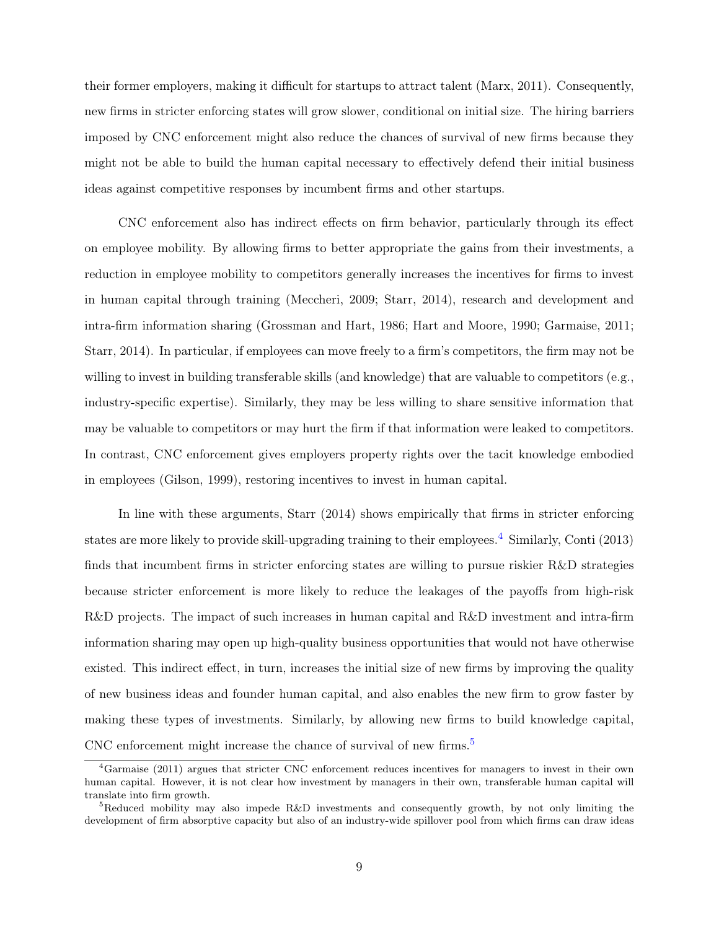their former employers, making it difficult for startups to attract talent (Marx, 2011). Consequently, new firms in stricter enforcing states will grow slower, conditional on initial size. The hiring barriers imposed by CNC enforcement might also reduce the chances of survival of new firms because they might not be able to build the human capital necessary to effectively defend their initial business ideas against competitive responses by incumbent firms and other startups.

CNC enforcement also has indirect effects on firm behavior, particularly through its effect on employee mobility. By allowing firms to better appropriate the gains from their investments, a reduction in employee mobility to competitors generally increases the incentives for firms to invest in human capital through training (Meccheri, 2009; Starr, 2014), research and development and intra-firm information sharing (Grossman and Hart, 1986; Hart and Moore, 1990; Garmaise, 2011; Starr, 2014). In particular, if employees can move freely to a firm's competitors, the firm may not be willing to invest in building transferable skills (and knowledge) that are valuable to competitors (e.g., industry-specific expertise). Similarly, they may be less willing to share sensitive information that may be valuable to competitors or may hurt the firm if that information were leaked to competitors. In contrast, CNC enforcement gives employers property rights over the tacit knowledge embodied in employees (Gilson, 1999), restoring incentives to invest in human capital.

In line with these arguments, Starr (2014) shows empirically that firms in stricter enforcing states are more likely to provide skill-upgrading training to their employees.<sup>[4](#page-9-0)</sup> Similarly, Conti (2013) finds that incumbent firms in stricter enforcing states are willing to pursue riskier R&D strategies because stricter enforcement is more likely to reduce the leakages of the payoffs from high-risk R&D projects. The impact of such increases in human capital and R&D investment and intra-firm information sharing may open up high-quality business opportunities that would not have otherwise existed. This indirect effect, in turn, increases the initial size of new firms by improving the quality of new business ideas and founder human capital, and also enables the new firm to grow faster by making these types of investments. Similarly, by allowing new firms to build knowledge capital, CNC enforcement might increase the chance of survival of new firms.<sup>[5](#page-9-1)</sup>

<span id="page-9-0"></span><sup>4</sup>Garmaise (2011) argues that stricter CNC enforcement reduces incentives for managers to invest in their own human capital. However, it is not clear how investment by managers in their own, transferable human capital will translate into firm growth.

<span id="page-9-1"></span><sup>5</sup>Reduced mobility may also impede R&D investments and consequently growth, by not only limiting the development of firm absorptive capacity but also of an industry-wide spillover pool from which firms can draw ideas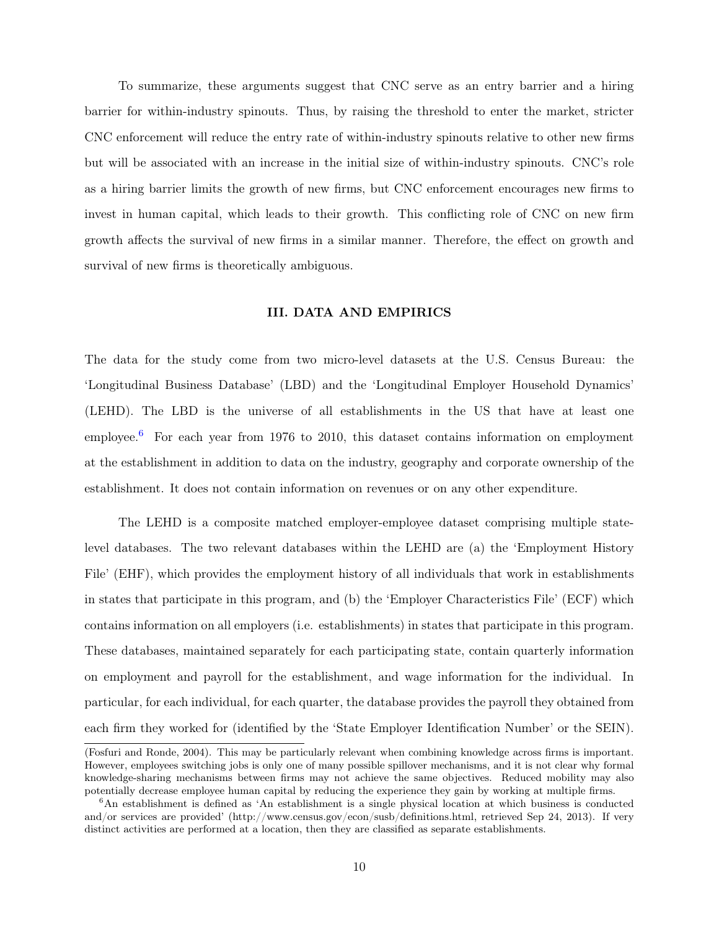To summarize, these arguments suggest that CNC serve as an entry barrier and a hiring barrier for within-industry spinouts. Thus, by raising the threshold to enter the market, stricter CNC enforcement will reduce the entry rate of within-industry spinouts relative to other new firms but will be associated with an increase in the initial size of within-industry spinouts. CNC's role as a hiring barrier limits the growth of new firms, but CNC enforcement encourages new firms to invest in human capital, which leads to their growth. This conflicting role of CNC on new firm growth affects the survival of new firms in a similar manner. Therefore, the effect on growth and survival of new firms is theoretically ambiguous.

# III. DATA AND EMPIRICS

The data for the study come from two micro-level datasets at the U.S. Census Bureau: the 'Longitudinal Business Database' (LBD) and the 'Longitudinal Employer Household Dynamics' (LEHD). The LBD is the universe of all establishments in the US that have at least one employee.[6](#page-10-0) For each year from 1976 to 2010, this dataset contains information on employment at the establishment in addition to data on the industry, geography and corporate ownership of the establishment. It does not contain information on revenues or on any other expenditure.

The LEHD is a composite matched employer-employee dataset comprising multiple statelevel databases. The two relevant databases within the LEHD are (a) the 'Employment History File' (EHF), which provides the employment history of all individuals that work in establishments in states that participate in this program, and (b) the 'Employer Characteristics File' (ECF) which contains information on all employers (i.e. establishments) in states that participate in this program. These databases, maintained separately for each participating state, contain quarterly information on employment and payroll for the establishment, and wage information for the individual. In particular, for each individual, for each quarter, the database provides the payroll they obtained from each firm they worked for (identified by the 'State Employer Identification Number' or the SEIN).

<sup>(</sup>Fosfuri and Ronde, 2004). This may be particularly relevant when combining knowledge across firms is important. However, employees switching jobs is only one of many possible spillover mechanisms, and it is not clear why formal knowledge-sharing mechanisms between firms may not achieve the same objectives. Reduced mobility may also potentially decrease employee human capital by reducing the experience they gain by working at multiple firms.

<span id="page-10-0"></span><sup>6</sup>An establishment is defined as 'An establishment is a single physical location at which business is conducted and/or services are provided' (http://www.census.gov/econ/susb/definitions.html, retrieved Sep 24, 2013). If very distinct activities are performed at a location, then they are classified as separate establishments.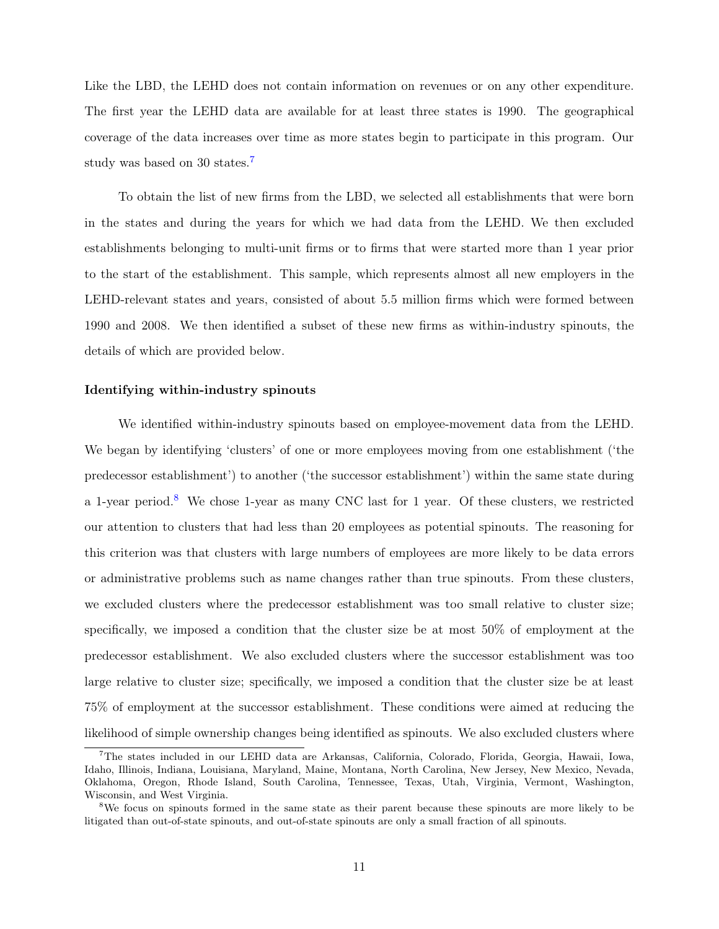Like the LBD, the LEHD does not contain information on revenues or on any other expenditure. The first year the LEHD data are available for at least three states is 1990. The geographical coverage of the data increases over time as more states begin to participate in this program. Our study was based on 30 states.<sup>[7](#page-11-0)</sup>

To obtain the list of new firms from the LBD, we selected all establishments that were born in the states and during the years for which we had data from the LEHD. We then excluded establishments belonging to multi-unit firms or to firms that were started more than 1 year prior to the start of the establishment. This sample, which represents almost all new employers in the LEHD-relevant states and years, consisted of about 5.5 million firms which were formed between 1990 and 2008. We then identified a subset of these new firms as within-industry spinouts, the details of which are provided below.

#### Identifying within-industry spinouts

We identified within-industry spinouts based on employee-movement data from the LEHD. We began by identifying 'clusters' of one or more employees moving from one establishment ('the predecessor establishment') to another ('the successor establishment') within the same state during a 1-year period.[8](#page-11-1) We chose 1-year as many CNC last for 1 year. Of these clusters, we restricted our attention to clusters that had less than 20 employees as potential spinouts. The reasoning for this criterion was that clusters with large numbers of employees are more likely to be data errors or administrative problems such as name changes rather than true spinouts. From these clusters, we excluded clusters where the predecessor establishment was too small relative to cluster size; specifically, we imposed a condition that the cluster size be at most 50% of employment at the predecessor establishment. We also excluded clusters where the successor establishment was too large relative to cluster size; specifically, we imposed a condition that the cluster size be at least 75% of employment at the successor establishment. These conditions were aimed at reducing the likelihood of simple ownership changes being identified as spinouts. We also excluded clusters where

<span id="page-11-0"></span><sup>7</sup>The states included in our LEHD data are Arkansas, California, Colorado, Florida, Georgia, Hawaii, Iowa, Idaho, Illinois, Indiana, Louisiana, Maryland, Maine, Montana, North Carolina, New Jersey, New Mexico, Nevada, Oklahoma, Oregon, Rhode Island, South Carolina, Tennessee, Texas, Utah, Virginia, Vermont, Washington, Wisconsin, and West Virginia.

<span id="page-11-1"></span><sup>8</sup>We focus on spinouts formed in the same state as their parent because these spinouts are more likely to be litigated than out-of-state spinouts, and out-of-state spinouts are only a small fraction of all spinouts.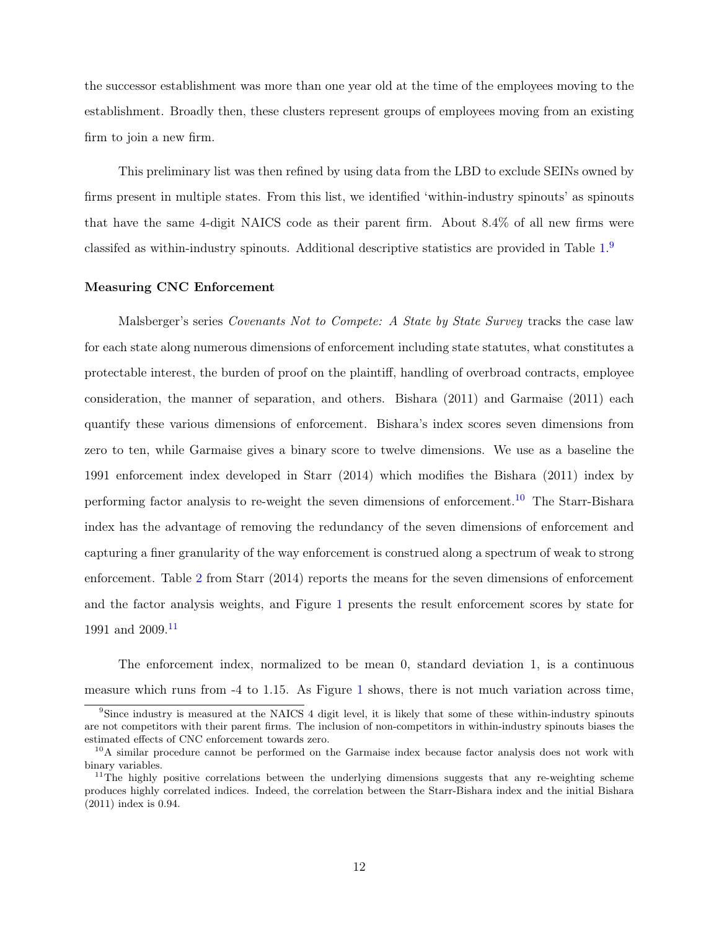the successor establishment was more than one year old at the time of the employees moving to the establishment. Broadly then, these clusters represent groups of employees moving from an existing firm to join a new firm.

This preliminary list was then refined by using data from the LBD to exclude SEINs owned by firms present in multiple states. From this list, we identified 'within-industry spinouts' as spinouts that have the same 4-digit NAICS code as their parent firm. About 8.4% of all new firms were classifed as within-industry spinouts. Additional descriptive statistics are provided in Table [1.](#page-33-0)<sup>[9](#page-12-0)</sup>

#### Measuring CNC Enforcement

Malsberger's series *Covenants Not to Compete: A State by State Survey* tracks the case law for each state along numerous dimensions of enforcement including state statutes, what constitutes a protectable interest, the burden of proof on the plaintiff, handling of overbroad contracts, employee consideration, the manner of separation, and others. Bishara (2011) and Garmaise (2011) each quantify these various dimensions of enforcement. Bishara's index scores seven dimensions from zero to ten, while Garmaise gives a binary score to twelve dimensions. We use as a baseline the 1991 enforcement index developed in Starr (2014) which modifies the Bishara (2011) index by performing factor analysis to re-weight the seven dimensions of enforcement.<sup>[10](#page-12-1)</sup> The Starr-Bishara index has the advantage of removing the redundancy of the seven dimensions of enforcement and capturing a finer granularity of the way enforcement is construed along a spectrum of weak to strong enforcement. Table [2](#page-34-0) from Starr (2014) reports the means for the seven dimensions of enforcement and the factor analysis weights, and Figure [1](#page-34-1) presents the result enforcement scores by state for 1991 and  $2009.<sup>11</sup>$  $2009.<sup>11</sup>$  $2009.<sup>11</sup>$ 

The enforcement index, normalized to be mean 0, standard deviation 1, is a continuous measure which runs from -4 to 1.15. As Figure [1](#page-34-1) shows, there is not much variation across time,

<span id="page-12-0"></span><sup>&</sup>lt;sup>9</sup>Since industry is measured at the NAICS 4 digit level, it is likely that some of these within-industry spinouts are not competitors with their parent firms. The inclusion of non-competitors in within-industry spinouts biases the estimated effects of CNC enforcement towards zero.

<span id="page-12-1"></span><sup>&</sup>lt;sup>10</sup>A similar procedure cannot be performed on the Garmaise index because factor analysis does not work with binary variables.

<span id="page-12-2"></span><sup>&</sup>lt;sup>11</sup>The highly positive correlations between the underlying dimensions suggests that any re-weighting scheme produces highly correlated indices. Indeed, the correlation between the Starr-Bishara index and the initial Bishara (2011) index is 0.94.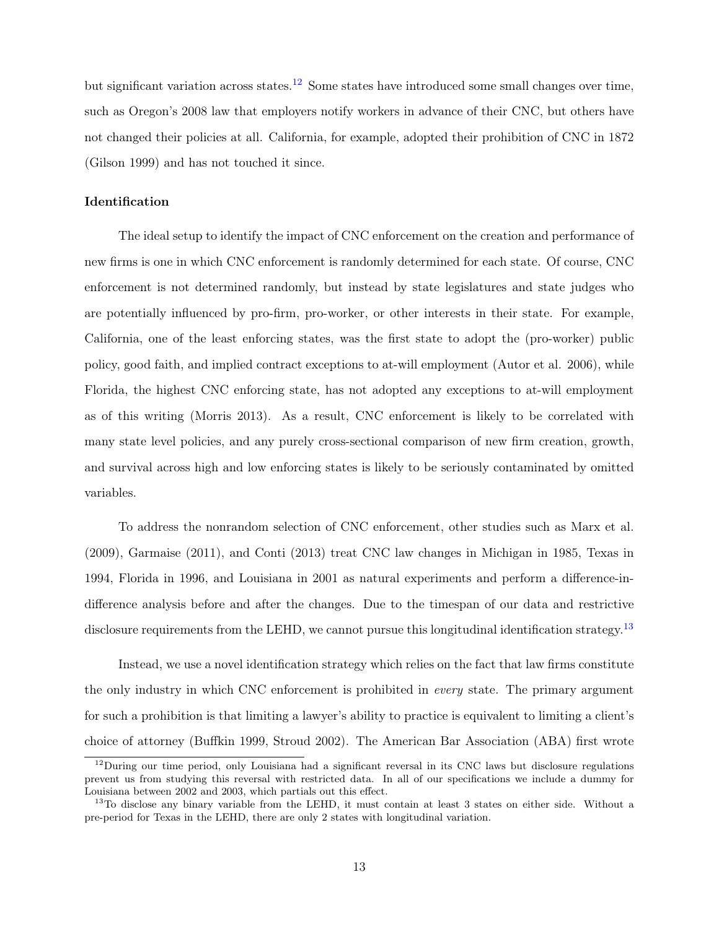but significant variation across states.<sup>[12](#page-13-0)</sup> Some states have introduced some small changes over time, such as Oregon's 2008 law that employers notify workers in advance of their CNC, but others have not changed their policies at all. California, for example, adopted their prohibition of CNC in 1872 (Gilson 1999) and has not touched it since.

#### Identification

The ideal setup to identify the impact of CNC enforcement on the creation and performance of new firms is one in which CNC enforcement is randomly determined for each state. Of course, CNC enforcement is not determined randomly, but instead by state legislatures and state judges who are potentially influenced by pro-firm, pro-worker, or other interests in their state. For example, California, one of the least enforcing states, was the first state to adopt the (pro-worker) public policy, good faith, and implied contract exceptions to at-will employment (Autor et al. 2006), while Florida, the highest CNC enforcing state, has not adopted any exceptions to at-will employment as of this writing (Morris 2013). As a result, CNC enforcement is likely to be correlated with many state level policies, and any purely cross-sectional comparison of new firm creation, growth, and survival across high and low enforcing states is likely to be seriously contaminated by omitted variables.

To address the nonrandom selection of CNC enforcement, other studies such as Marx et al. (2009), Garmaise (2011), and Conti (2013) treat CNC law changes in Michigan in 1985, Texas in 1994, Florida in 1996, and Louisiana in 2001 as natural experiments and perform a difference-indifference analysis before and after the changes. Due to the timespan of our data and restrictive disclosure requirements from the LEHD, we cannot pursue this longitudinal identification strategy.<sup>[13](#page-13-1)</sup>

Instead, we use a novel identification strategy which relies on the fact that law firms constitute the only industry in which CNC enforcement is prohibited in every state. The primary argument for such a prohibition is that limiting a lawyer's ability to practice is equivalent to limiting a client's choice of attorney (Buffkin 1999, Stroud 2002). The American Bar Association (ABA) first wrote

<span id="page-13-0"></span><sup>&</sup>lt;sup>12</sup>During our time period, only Louisiana had a significant reversal in its CNC laws but disclosure regulations prevent us from studying this reversal with restricted data. In all of our specifications we include a dummy for Louisiana between 2002 and 2003, which partials out this effect.

<span id="page-13-1"></span><sup>&</sup>lt;sup>13</sup>To disclose any binary variable from the LEHD, it must contain at least 3 states on either side. Without a pre-period for Texas in the LEHD, there are only 2 states with longitudinal variation.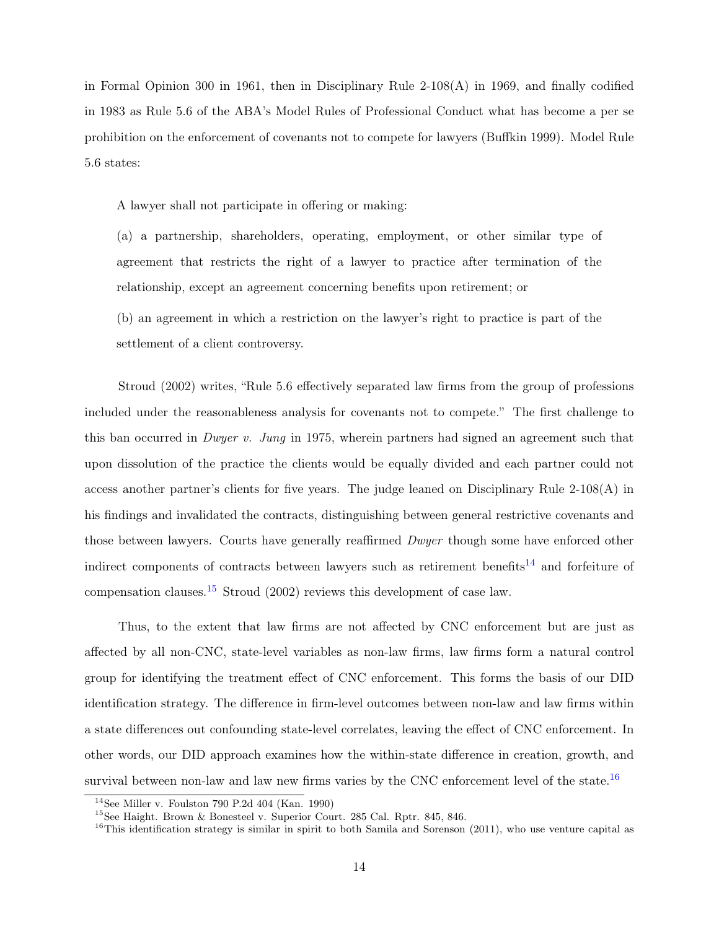in Formal Opinion 300 in 1961, then in Disciplinary Rule 2-108(A) in 1969, and finally codified in 1983 as Rule 5.6 of the ABA's Model Rules of Professional Conduct what has become a per se prohibition on the enforcement of covenants not to compete for lawyers (Buffkin 1999). Model Rule 5.6 states:

A lawyer shall not participate in offering or making:

(a) a partnership, shareholders, operating, employment, or other similar type of agreement that restricts the right of a lawyer to practice after termination of the relationship, except an agreement concerning benefits upon retirement; or

(b) an agreement in which a restriction on the lawyer's right to practice is part of the settlement of a client controversy.

Stroud (2002) writes, "Rule 5.6 effectively separated law firms from the group of professions included under the reasonableness analysis for covenants not to compete." The first challenge to this ban occurred in Dwyer v. Jung in 1975, wherein partners had signed an agreement such that upon dissolution of the practice the clients would be equally divided and each partner could not access another partner's clients for five years. The judge leaned on Disciplinary Rule 2-108(A) in his findings and invalidated the contracts, distinguishing between general restrictive covenants and those between lawyers. Courts have generally reaffirmed *Dwyer* though some have enforced other indirect components of contracts between lawyers such as retirement benefits<sup>[14](#page-14-0)</sup> and forfeiture of compensation clauses.<sup>[15](#page-14-1)</sup> Stroud (2002) reviews this development of case law.

Thus, to the extent that law firms are not affected by CNC enforcement but are just as affected by all non-CNC, state-level variables as non-law firms, law firms form a natural control group for identifying the treatment effect of CNC enforcement. This forms the basis of our DID identification strategy. The difference in firm-level outcomes between non-law and law firms within a state differences out confounding state-level correlates, leaving the effect of CNC enforcement. In other words, our DID approach examines how the within-state difference in creation, growth, and survival between non-law and law new firms varies by the CNC enforcement level of the state.<sup>[16](#page-14-2)</sup>

<span id="page-14-0"></span> $14$ See Miller v. Foulston 790 P.2d 404 (Kan. 1990)

<span id="page-14-1"></span><sup>15</sup>See Haight. Brown & Bonesteel v. Superior Court. 285 Cal. Rptr. 845, 846.

<span id="page-14-2"></span> $16$ This identification strategy is similar in spirit to both Samila and Sorenson (2011), who use venture capital as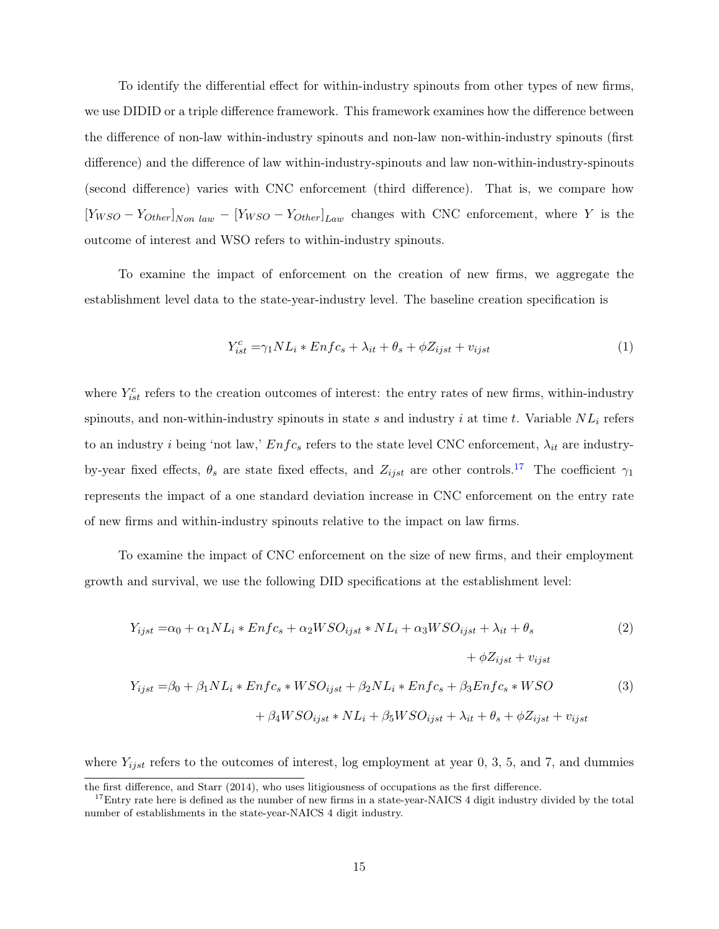To identify the differential effect for within-industry spinouts from other types of new firms, we use DIDID or a triple difference framework. This framework examines how the difference between the difference of non-law within-industry spinouts and non-law non-within-industry spinouts (first difference) and the difference of law within-industry-spinouts and law non-within-industry-spinouts (second difference) varies with CNC enforcement (third difference). That is, we compare how  $[Y_{WSO} - Y_{Other}]_{Non \ law} - [Y_{WSO} - Y_{Other}]_{Law}$  changes with CNC enforcement, where Y is the outcome of interest and WSO refers to within-industry spinouts.

To examine the impact of enforcement on the creation of new firms, we aggregate the establishment level data to the state-year-industry level. The baseline creation specification is

<span id="page-15-1"></span>
$$
Y_{ist}^{c} = \gamma_1 NL_i * Enfc_s + \lambda_{it} + \theta_s + \phi Z_{ijst} + v_{ijst}
$$
\n
$$
\tag{1}
$$

where  $Y_{ist}^c$  refers to the creation outcomes of interest: the entry rates of new firms, within-industry spinouts, and non-within-industry spinouts in state s and industry i at time t. Variable  $NL_i$  refers to an industry i being 'not law,'  $Enfc<sub>s</sub>$  refers to the state level CNC enforcement,  $\lambda_{it}$  are industryby-year fixed effects,  $\theta_s$  are state fixed effects, and  $Z_{ijst}$  are other controls.<sup>[17](#page-15-0)</sup> The coefficient  $\gamma_1$ represents the impact of a one standard deviation increase in CNC enforcement on the entry rate of new firms and within-industry spinouts relative to the impact on law firms.

To examine the impact of CNC enforcement on the size of new firms, and their employment growth and survival, we use the following DID specifications at the establishment level:

<span id="page-15-2"></span>
$$
Y_{ijst} = \alpha_0 + \alpha_1 NL_i * Enfc_s + \alpha_2 WSO_{ijst} * NL_i + \alpha_3 WSO_{ijst} + \lambda_{it} + \theta_s
$$
\n
$$
+ \phi Z_{ijst} + v_{ijst}
$$
\n
$$
Y_{ijst} = \beta_0 + \beta_1 NL_i * Enfc_s * WSO_{ijst} + \beta_2 NL_i * Enfc_s + \beta_3 Enfc_s * WSO
$$
\n
$$
+ \beta_4 WSO_{ijst} * NL_i + \beta_5 WSO_{ijst} + \lambda_{it} + \theta_s + \phi Z_{ijst} + v_{ijst}
$$
\n
$$
(3)
$$

where  $Y_{ijst}$  refers to the outcomes of interest, log employment at year 0, 3, 5, and 7, and dummies

the first difference, and Starr (2014), who uses litigiousness of occupations as the first difference.

<span id="page-15-0"></span> $17$ Entry rate here is defined as the number of new firms in a state-year-NAICS 4 digit industry divided by the total number of establishments in the state-year-NAICS 4 digit industry.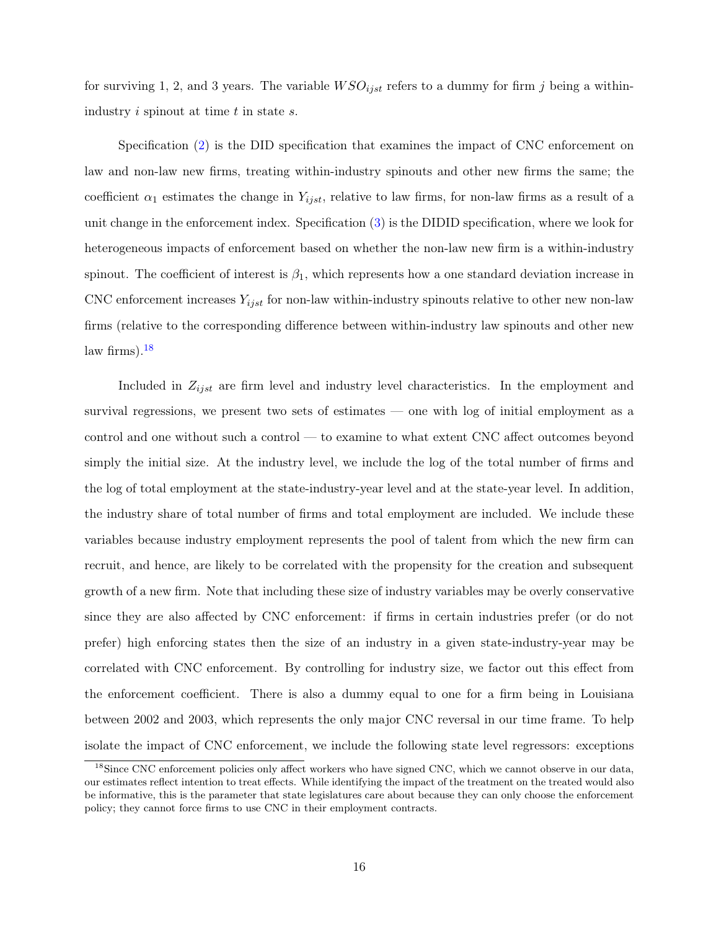for surviving 1, 2, and 3 years. The variable  $WSO_{ijst}$  refers to a dummy for firm j being a withinindustry  $i$  spinout at time  $t$  in state  $s$ .

Specification [\(2\)](#page-15-1) is the DID specification that examines the impact of CNC enforcement on law and non-law new firms, treating within-industry spinouts and other new firms the same; the coefficient  $\alpha_1$  estimates the change in  $Y_{ijst}$ , relative to law firms, for non-law firms as a result of a unit change in the enforcement index. Specification [\(3\)](#page-15-2) is the DIDID specification, where we look for heterogeneous impacts of enforcement based on whether the non-law new firm is a within-industry spinout. The coefficient of interest is  $\beta_1$ , which represents how a one standard deviation increase in CNC enforcement increases  $Y_{ijst}$  for non-law within-industry spinouts relative to other new non-law firms (relative to the corresponding difference between within-industry law spinouts and other new law firms). $18$ 

Included in  $Z_{ijst}$  are firm level and industry level characteristics. In the employment and survival regressions, we present two sets of estimates — one with log of initial employment as a control and one without such a control — to examine to what extent CNC affect outcomes beyond simply the initial size. At the industry level, we include the log of the total number of firms and the log of total employment at the state-industry-year level and at the state-year level. In addition, the industry share of total number of firms and total employment are included. We include these variables because industry employment represents the pool of talent from which the new firm can recruit, and hence, are likely to be correlated with the propensity for the creation and subsequent growth of a new firm. Note that including these size of industry variables may be overly conservative since they are also affected by CNC enforcement: if firms in certain industries prefer (or do not prefer) high enforcing states then the size of an industry in a given state-industry-year may be correlated with CNC enforcement. By controlling for industry size, we factor out this effect from the enforcement coefficient. There is also a dummy equal to one for a firm being in Louisiana between 2002 and 2003, which represents the only major CNC reversal in our time frame. To help isolate the impact of CNC enforcement, we include the following state level regressors: exceptions

<span id="page-16-0"></span><sup>&</sup>lt;sup>18</sup>Since CNC enforcement policies only affect workers who have signed CNC, which we cannot observe in our data, our estimates reflect intention to treat effects. While identifying the impact of the treatment on the treated would also be informative, this is the parameter that state legislatures care about because they can only choose the enforcement policy; they cannot force firms to use CNC in their employment contracts.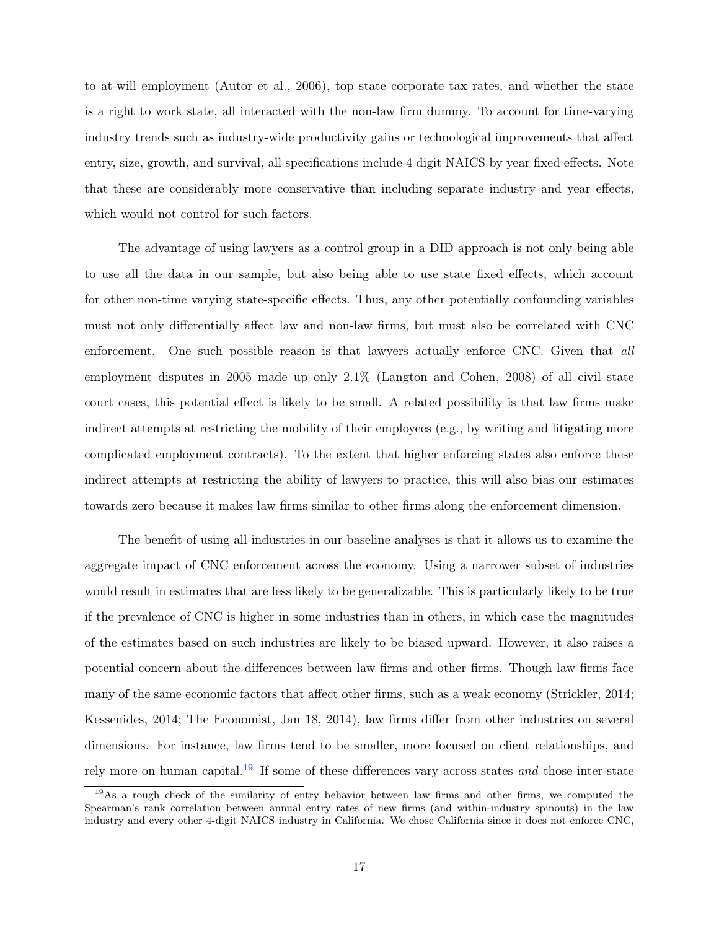to at-will employment (Autor et al., 2006), top state corporate tax rates, and whether the state is a right to work state, all interacted with the non-law firm dummy. To account for time-varying industry trends such as industry-wide productivity gains or technological improvements that affect entry, size, growth, and survival, all specifications include 4 digit NAICS by year fixed effects. Note that these are considerably more conservative than including separate industry and year effects, which would not control for such factors.

The advantage of using lawyers as a control group in a DID approach is not only being able to use all the data in our sample, but also being able to use state fixed effects, which account for other non-time varying state-specific effects. Thus, any other potentially confounding variables must not only differentially affect law and non-law firms, but must also be correlated with CNC enforcement. One such possible reason is that lawyers actually enforce CNC. Given that all employment disputes in 2005 made up only 2.1% (Langton and Cohen, 2008) of all civil state court cases, this potential effect is likely to be small. A related possibility is that law firms make indirect attempts at restricting the mobility of their employees (e.g., by writing and litigating more complicated employment contracts). To the extent that higher enforcing states also enforce these indirect attempts at restricting the ability of lawyers to practice, this will also bias our estimates towards zero because it makes law firms similar to other firms along the enforcement dimension.

The benefit of using all industries in our baseline analyses is that it allows us to examine the aggregate impact of CNC enforcement across the economy. Using a narrower subset of industries would result in estimates that are less likely to be generalizable. This is particularly likely to be true if the prevalence of CNC is higher in some industries than in others, in which case the magnitudes of the estimates based on such industries are likely to be biased upward. However, it also raises a potential concern about the differences between law firms and other firms. Though law firms face many of the same economic factors that affect other firms, such as a weak economy (Strickler, 2014; Kessenides, 2014; The Economist, Jan 18, 2014), law firms differ from other industries on several dimensions. For instance, law firms tend to be smaller, more focused on client relationships, and rely more on human capital.<sup>[19](#page-17-0)</sup> If some of these differences vary across states and those inter-state

<span id="page-17-0"></span><sup>&</sup>lt;sup>19</sup>As a rough check of the similarity of entry behavior between law firms and other firms, we computed the Spearman's rank correlation between annual entry rates of new firms (and within-industry spinouts) in the law industry and every other 4-digit NAICS industry in California. We chose California since it does not enforce CNC,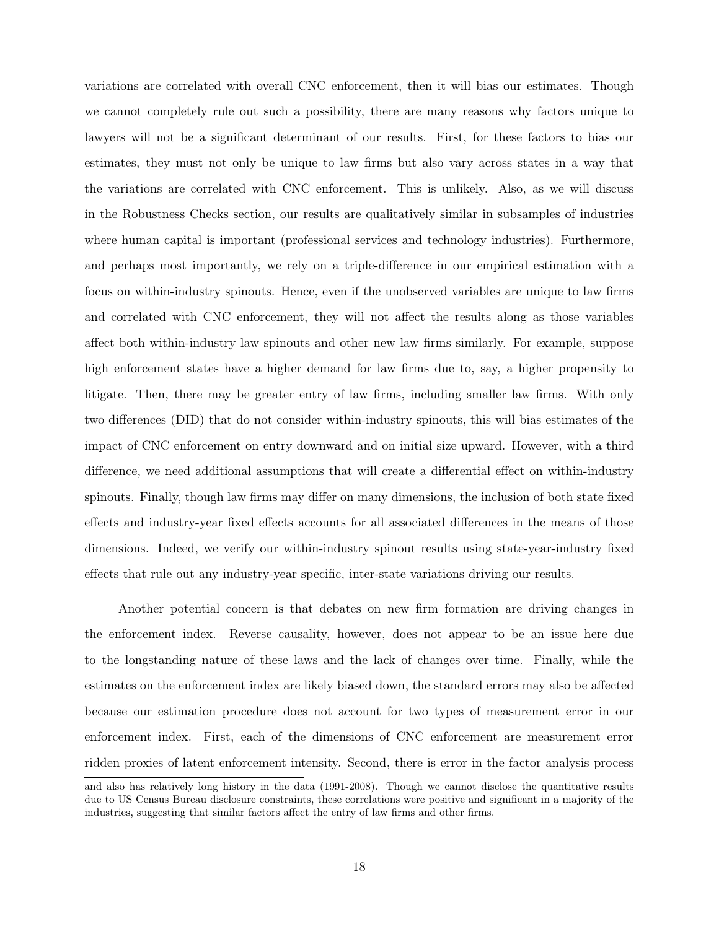variations are correlated with overall CNC enforcement, then it will bias our estimates. Though we cannot completely rule out such a possibility, there are many reasons why factors unique to lawyers will not be a significant determinant of our results. First, for these factors to bias our estimates, they must not only be unique to law firms but also vary across states in a way that the variations are correlated with CNC enforcement. This is unlikely. Also, as we will discuss in the Robustness Checks section, our results are qualitatively similar in subsamples of industries where human capital is important (professional services and technology industries). Furthermore, and perhaps most importantly, we rely on a triple-difference in our empirical estimation with a focus on within-industry spinouts. Hence, even if the unobserved variables are unique to law firms and correlated with CNC enforcement, they will not affect the results along as those variables affect both within-industry law spinouts and other new law firms similarly. For example, suppose high enforcement states have a higher demand for law firms due to, say, a higher propensity to litigate. Then, there may be greater entry of law firms, including smaller law firms. With only two differences (DID) that do not consider within-industry spinouts, this will bias estimates of the impact of CNC enforcement on entry downward and on initial size upward. However, with a third difference, we need additional assumptions that will create a differential effect on within-industry spinouts. Finally, though law firms may differ on many dimensions, the inclusion of both state fixed effects and industry-year fixed effects accounts for all associated differences in the means of those dimensions. Indeed, we verify our within-industry spinout results using state-year-industry fixed effects that rule out any industry-year specific, inter-state variations driving our results.

Another potential concern is that debates on new firm formation are driving changes in the enforcement index. Reverse causality, however, does not appear to be an issue here due to the longstanding nature of these laws and the lack of changes over time. Finally, while the estimates on the enforcement index are likely biased down, the standard errors may also be affected because our estimation procedure does not account for two types of measurement error in our enforcement index. First, each of the dimensions of CNC enforcement are measurement error ridden proxies of latent enforcement intensity. Second, there is error in the factor analysis process

and also has relatively long history in the data (1991-2008). Though we cannot disclose the quantitative results due to US Census Bureau disclosure constraints, these correlations were positive and significant in a majority of the industries, suggesting that similar factors affect the entry of law firms and other firms.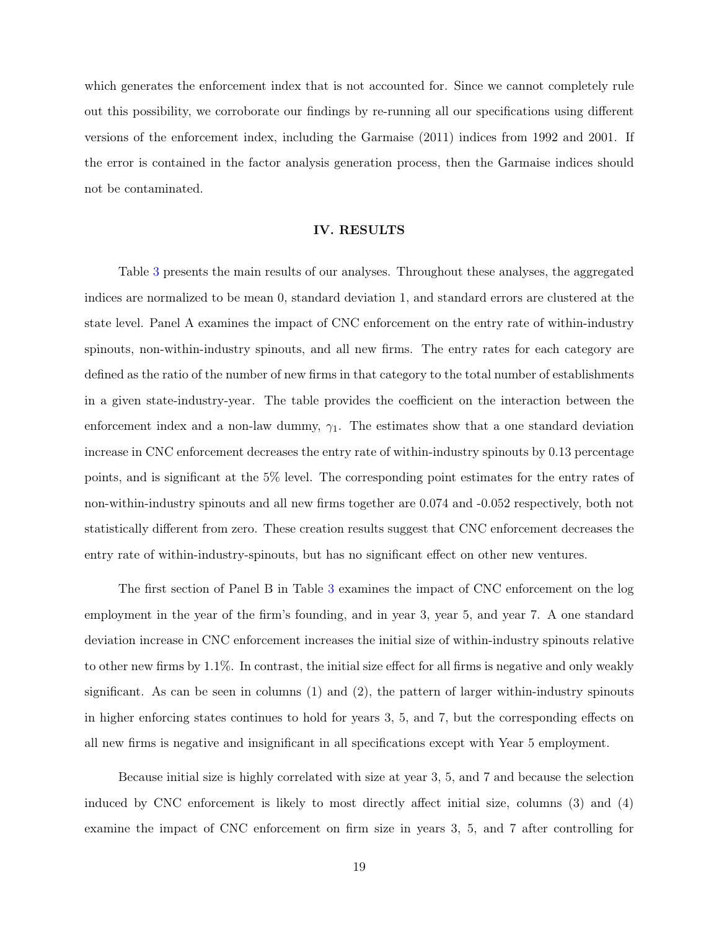which generates the enforcement index that is not accounted for. Since we cannot completely rule out this possibility, we corroborate our findings by re-running all our specifications using different versions of the enforcement index, including the Garmaise (2011) indices from 1992 and 2001. If the error is contained in the factor analysis generation process, then the Garmaise indices should not be contaminated.

## IV. RESULTS

Table [3](#page-35-0) presents the main results of our analyses. Throughout these analyses, the aggregated indices are normalized to be mean 0, standard deviation 1, and standard errors are clustered at the state level. Panel A examines the impact of CNC enforcement on the entry rate of within-industry spinouts, non-within-industry spinouts, and all new firms. The entry rates for each category are defined as the ratio of the number of new firms in that category to the total number of establishments in a given state-industry-year. The table provides the coefficient on the interaction between the enforcement index and a non-law dummy,  $\gamma_1$ . The estimates show that a one standard deviation increase in CNC enforcement decreases the entry rate of within-industry spinouts by 0.13 percentage points, and is significant at the 5% level. The corresponding point estimates for the entry rates of non-within-industry spinouts and all new firms together are 0.074 and -0.052 respectively, both not statistically different from zero. These creation results suggest that CNC enforcement decreases the entry rate of within-industry-spinouts, but has no significant effect on other new ventures.

The first section of Panel B in Table [3](#page-35-0) examines the impact of CNC enforcement on the log employment in the year of the firm's founding, and in year 3, year 5, and year 7. A one standard deviation increase in CNC enforcement increases the initial size of within-industry spinouts relative to other new firms by 1.1%. In contrast, the initial size effect for all firms is negative and only weakly significant. As can be seen in columns  $(1)$  and  $(2)$ , the pattern of larger within-industry spinouts in higher enforcing states continues to hold for years 3, 5, and 7, but the corresponding effects on all new firms is negative and insignificant in all specifications except with Year 5 employment.

Because initial size is highly correlated with size at year 3, 5, and 7 and because the selection induced by CNC enforcement is likely to most directly affect initial size, columns (3) and (4) examine the impact of CNC enforcement on firm size in years 3, 5, and 7 after controlling for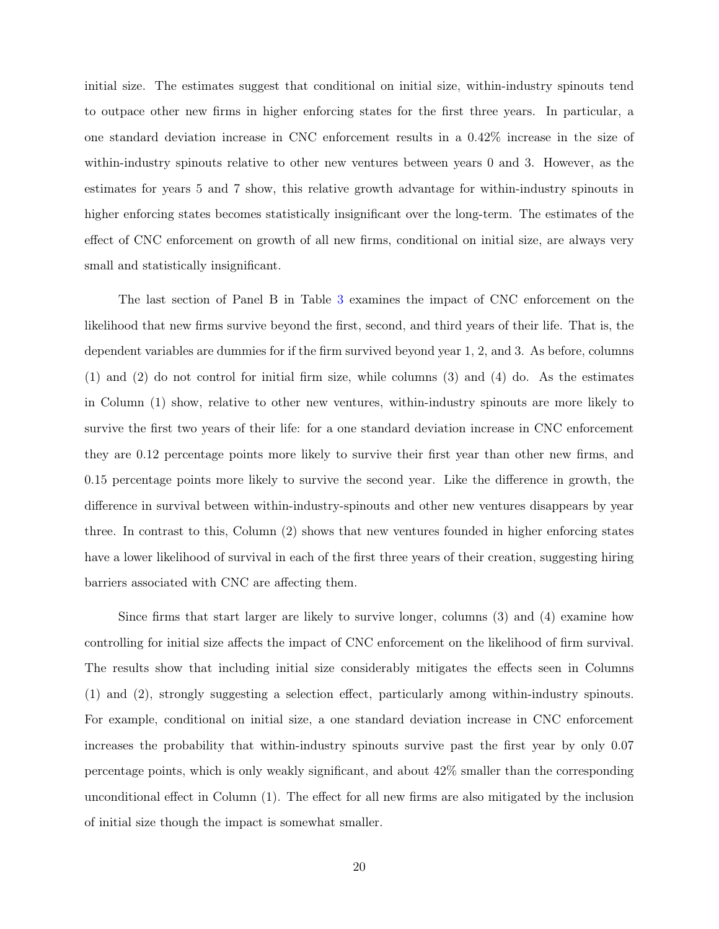initial size. The estimates suggest that conditional on initial size, within-industry spinouts tend to outpace other new firms in higher enforcing states for the first three years. In particular, a one standard deviation increase in CNC enforcement results in a 0.42% increase in the size of within-industry spinouts relative to other new ventures between years 0 and 3. However, as the estimates for years 5 and 7 show, this relative growth advantage for within-industry spinouts in higher enforcing states becomes statistically insignificant over the long-term. The estimates of the effect of CNC enforcement on growth of all new firms, conditional on initial size, are always very small and statistically insignificant.

The last section of Panel B in Table [3](#page-35-0) examines the impact of CNC enforcement on the likelihood that new firms survive beyond the first, second, and third years of their life. That is, the dependent variables are dummies for if the firm survived beyond year 1, 2, and 3. As before, columns (1) and (2) do not control for initial firm size, while columns (3) and (4) do. As the estimates in Column (1) show, relative to other new ventures, within-industry spinouts are more likely to survive the first two years of their life: for a one standard deviation increase in CNC enforcement they are 0.12 percentage points more likely to survive their first year than other new firms, and 0.15 percentage points more likely to survive the second year. Like the difference in growth, the difference in survival between within-industry-spinouts and other new ventures disappears by year three. In contrast to this, Column (2) shows that new ventures founded in higher enforcing states have a lower likelihood of survival in each of the first three years of their creation, suggesting hiring barriers associated with CNC are affecting them.

Since firms that start larger are likely to survive longer, columns (3) and (4) examine how controlling for initial size affects the impact of CNC enforcement on the likelihood of firm survival. The results show that including initial size considerably mitigates the effects seen in Columns (1) and (2), strongly suggesting a selection effect, particularly among within-industry spinouts. For example, conditional on initial size, a one standard deviation increase in CNC enforcement increases the probability that within-industry spinouts survive past the first year by only 0.07 percentage points, which is only weakly significant, and about 42% smaller than the corresponding unconditional effect in Column (1). The effect for all new firms are also mitigated by the inclusion of initial size though the impact is somewhat smaller.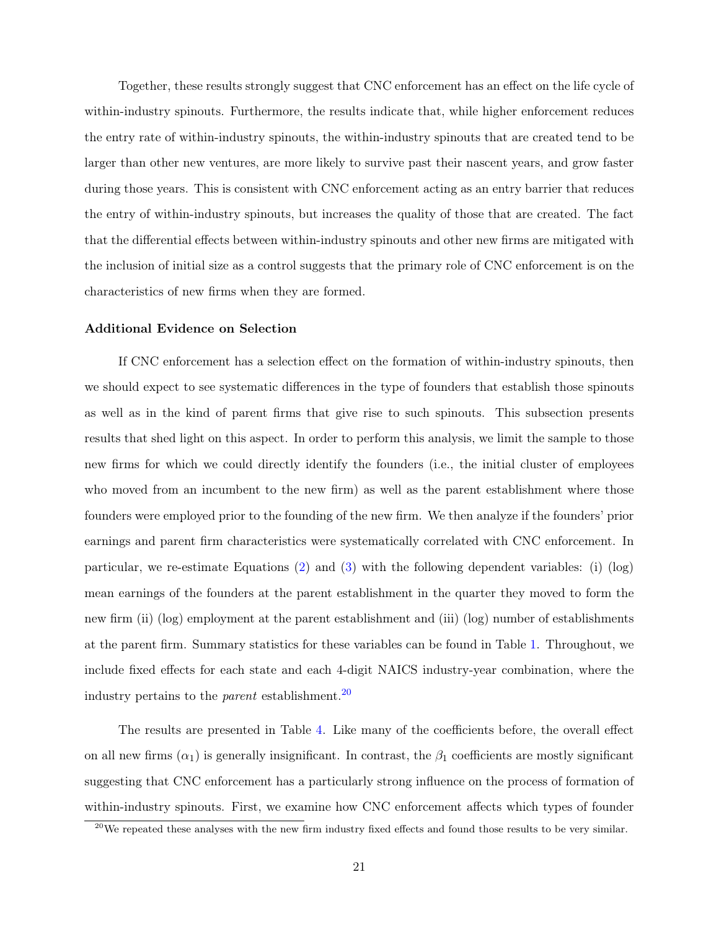Together, these results strongly suggest that CNC enforcement has an effect on the life cycle of within-industry spinouts. Furthermore, the results indicate that, while higher enforcement reduces the entry rate of within-industry spinouts, the within-industry spinouts that are created tend to be larger than other new ventures, are more likely to survive past their nascent years, and grow faster during those years. This is consistent with CNC enforcement acting as an entry barrier that reduces the entry of within-industry spinouts, but increases the quality of those that are created. The fact that the differential effects between within-industry spinouts and other new firms are mitigated with the inclusion of initial size as a control suggests that the primary role of CNC enforcement is on the characteristics of new firms when they are formed.

# Additional Evidence on Selection

If CNC enforcement has a selection effect on the formation of within-industry spinouts, then we should expect to see systematic differences in the type of founders that establish those spinouts as well as in the kind of parent firms that give rise to such spinouts. This subsection presents results that shed light on this aspect. In order to perform this analysis, we limit the sample to those new firms for which we could directly identify the founders (i.e., the initial cluster of employees who moved from an incumbent to the new firm) as well as the parent establishment where those founders were employed prior to the founding of the new firm. We then analyze if the founders' prior earnings and parent firm characteristics were systematically correlated with CNC enforcement. In particular, we re-estimate Equations [\(2\)](#page-15-1) and [\(3\)](#page-15-2) with the following dependent variables: (i) (log) mean earnings of the founders at the parent establishment in the quarter they moved to form the new firm (ii) (log) employment at the parent establishment and (iii) (log) number of establishments at the parent firm. Summary statistics for these variables can be found in Table [1.](#page-33-0) Throughout, we include fixed effects for each state and each 4-digit NAICS industry-year combination, where the industry pertains to the *parent* establishment.<sup>[20](#page-21-0)</sup>

The results are presented in Table [4.](#page-36-0) Like many of the coefficients before, the overall effect on all new firms  $(\alpha_1)$  is generally insignificant. In contrast, the  $\beta_1$  coefficients are mostly significant suggesting that CNC enforcement has a particularly strong influence on the process of formation of within-industry spinouts. First, we examine how CNC enforcement affects which types of founder

<span id="page-21-0"></span> $^{20}$ We repeated these analyses with the new firm industry fixed effects and found those results to be very similar.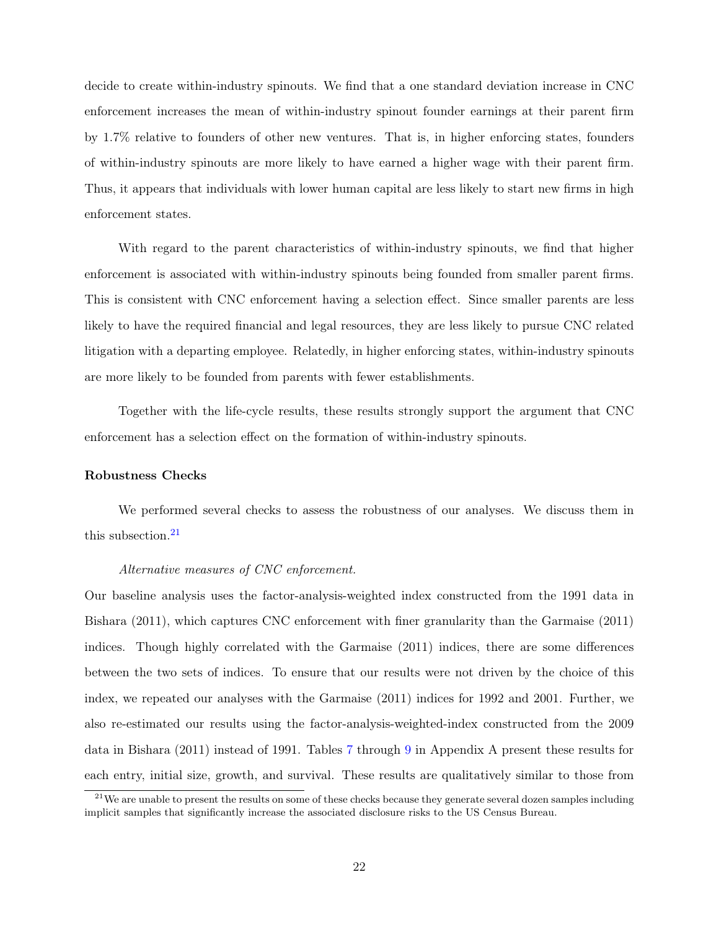decide to create within-industry spinouts. We find that a one standard deviation increase in CNC enforcement increases the mean of within-industry spinout founder earnings at their parent firm by 1.7% relative to founders of other new ventures. That is, in higher enforcing states, founders of within-industry spinouts are more likely to have earned a higher wage with their parent firm. Thus, it appears that individuals with lower human capital are less likely to start new firms in high enforcement states.

With regard to the parent characteristics of within-industry spinouts, we find that higher enforcement is associated with within-industry spinouts being founded from smaller parent firms. This is consistent with CNC enforcement having a selection effect. Since smaller parents are less likely to have the required financial and legal resources, they are less likely to pursue CNC related litigation with a departing employee. Relatedly, in higher enforcing states, within-industry spinouts are more likely to be founded from parents with fewer establishments.

Together with the life-cycle results, these results strongly support the argument that CNC enforcement has a selection effect on the formation of within-industry spinouts.

#### Robustness Checks

We performed several checks to assess the robustness of our analyses. We discuss them in this subsection. $21$ 

#### Alternative measures of CNC enforcement.

Our baseline analysis uses the factor-analysis-weighted index constructed from the 1991 data in Bishara (2011), which captures CNC enforcement with finer granularity than the Garmaise (2011) indices. Though highly correlated with the Garmaise (2011) indices, there are some differences between the two sets of indices. To ensure that our results were not driven by the choice of this index, we repeated our analyses with the Garmaise (2011) indices for 1992 and 2001. Further, we also re-estimated our results using the factor-analysis-weighted-index constructed from the 2009 data in Bishara (2011) instead of 1991. Tables [7](#page-38-0) through [9](#page-40-0) in Appendix A present these results for each entry, initial size, growth, and survival. These results are qualitatively similar to those from

<span id="page-22-0"></span> $21$ We are unable to present the results on some of these checks because they generate several dozen samples including implicit samples that significantly increase the associated disclosure risks to the US Census Bureau.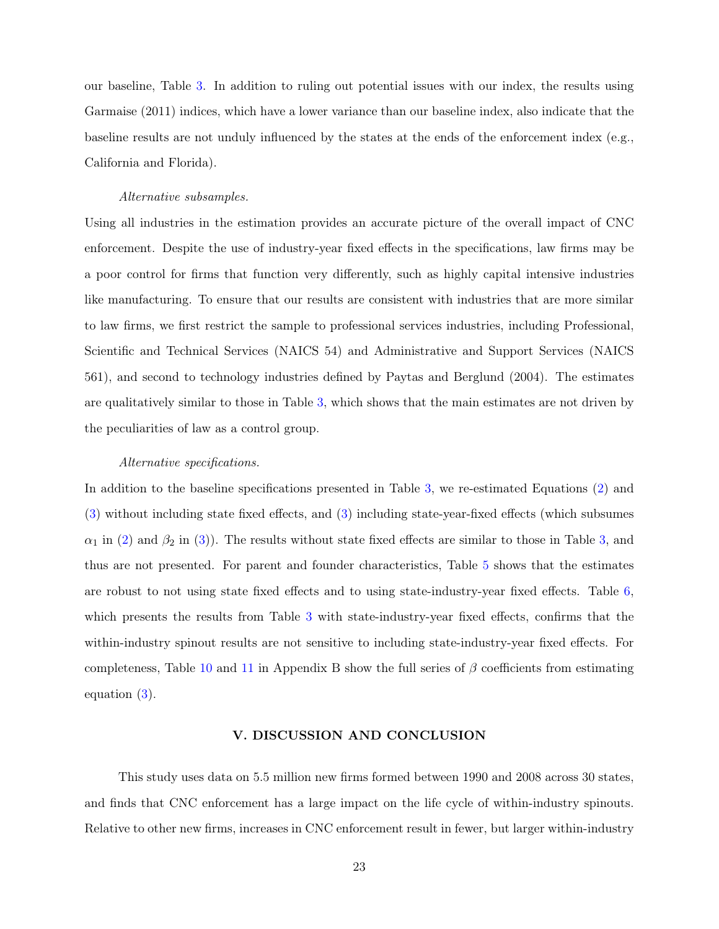our baseline, Table [3.](#page-35-0) In addition to ruling out potential issues with our index, the results using Garmaise (2011) indices, which have a lower variance than our baseline index, also indicate that the baseline results are not unduly influenced by the states at the ends of the enforcement index (e.g., California and Florida).

#### Alternative subsamples.

Using all industries in the estimation provides an accurate picture of the overall impact of CNC enforcement. Despite the use of industry-year fixed effects in the specifications, law firms may be a poor control for firms that function very differently, such as highly capital intensive industries like manufacturing. To ensure that our results are consistent with industries that are more similar to law firms, we first restrict the sample to professional services industries, including Professional, Scientific and Technical Services (NAICS 54) and Administrative and Support Services (NAICS 561), and second to technology industries defined by Paytas and Berglund (2004). The estimates are qualitatively similar to those in Table [3,](#page-35-0) which shows that the main estimates are not driven by the peculiarities of law as a control group.

#### Alternative specifications.

In addition to the baseline specifications presented in Table [3,](#page-35-0) we re-estimated Equations [\(2\)](#page-15-1) and [\(3\)](#page-15-2) without including state fixed effects, and [\(3\)](#page-15-2) including state-year-fixed effects (which subsumes  $\alpha_1$  in [\(2\)](#page-15-1) and  $\beta_2$  in [\(3\)](#page-15-2)). The results without state fixed effects are similar to those in Table [3,](#page-35-0) and thus are not presented. For parent and founder characteristics, Table [5](#page-36-1) shows that the estimates are robust to not using state fixed effects and to using state-industry-year fixed effects. Table [6,](#page-37-0) which presents the results from Table [3](#page-35-0) with state-industry-year fixed effects, confirms that the within-industry spinout results are not sensitive to including state-industry-year fixed effects. For completeness, Table [10](#page-41-0) and [11](#page-42-0) in Appendix B show the full series of  $\beta$  coefficients from estimating equation [\(3\)](#page-15-2).

### V. DISCUSSION AND CONCLUSION

This study uses data on 5.5 million new firms formed between 1990 and 2008 across 30 states, and finds that CNC enforcement has a large impact on the life cycle of within-industry spinouts. Relative to other new firms, increases in CNC enforcement result in fewer, but larger within-industry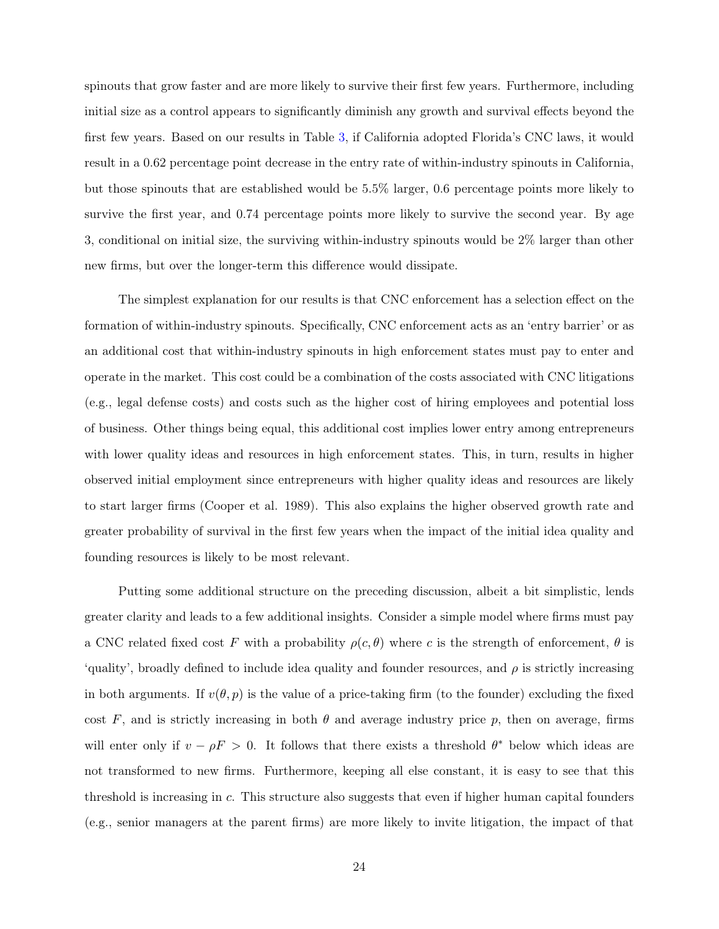spinouts that grow faster and are more likely to survive their first few years. Furthermore, including initial size as a control appears to significantly diminish any growth and survival effects beyond the first few years. Based on our results in Table [3,](#page-35-0) if California adopted Florida's CNC laws, it would result in a 0.62 percentage point decrease in the entry rate of within-industry spinouts in California, but those spinouts that are established would be 5.5% larger, 0.6 percentage points more likely to survive the first year, and 0.74 percentage points more likely to survive the second year. By age 3, conditional on initial size, the surviving within-industry spinouts would be 2% larger than other new firms, but over the longer-term this difference would dissipate.

The simplest explanation for our results is that CNC enforcement has a selection effect on the formation of within-industry spinouts. Specifically, CNC enforcement acts as an 'entry barrier' or as an additional cost that within-industry spinouts in high enforcement states must pay to enter and operate in the market. This cost could be a combination of the costs associated with CNC litigations (e.g., legal defense costs) and costs such as the higher cost of hiring employees and potential loss of business. Other things being equal, this additional cost implies lower entry among entrepreneurs with lower quality ideas and resources in high enforcement states. This, in turn, results in higher observed initial employment since entrepreneurs with higher quality ideas and resources are likely to start larger firms (Cooper et al. 1989). This also explains the higher observed growth rate and greater probability of survival in the first few years when the impact of the initial idea quality and founding resources is likely to be most relevant.

Putting some additional structure on the preceding discussion, albeit a bit simplistic, lends greater clarity and leads to a few additional insights. Consider a simple model where firms must pay a CNC related fixed cost F with a probability  $\rho(c, \theta)$  where c is the strength of enforcement,  $\theta$  is 'quality', broadly defined to include idea quality and founder resources, and  $\rho$  is strictly increasing in both arguments. If  $v(\theta, p)$  is the value of a price-taking firm (to the founder) excluding the fixed cost F, and is strictly increasing in both  $\theta$  and average industry price p, then on average, firms will enter only if  $v - \rho F > 0$ . It follows that there exists a threshold  $\theta^*$  below which ideas are not transformed to new firms. Furthermore, keeping all else constant, it is easy to see that this threshold is increasing in c. This structure also suggests that even if higher human capital founders (e.g., senior managers at the parent firms) are more likely to invite litigation, the impact of that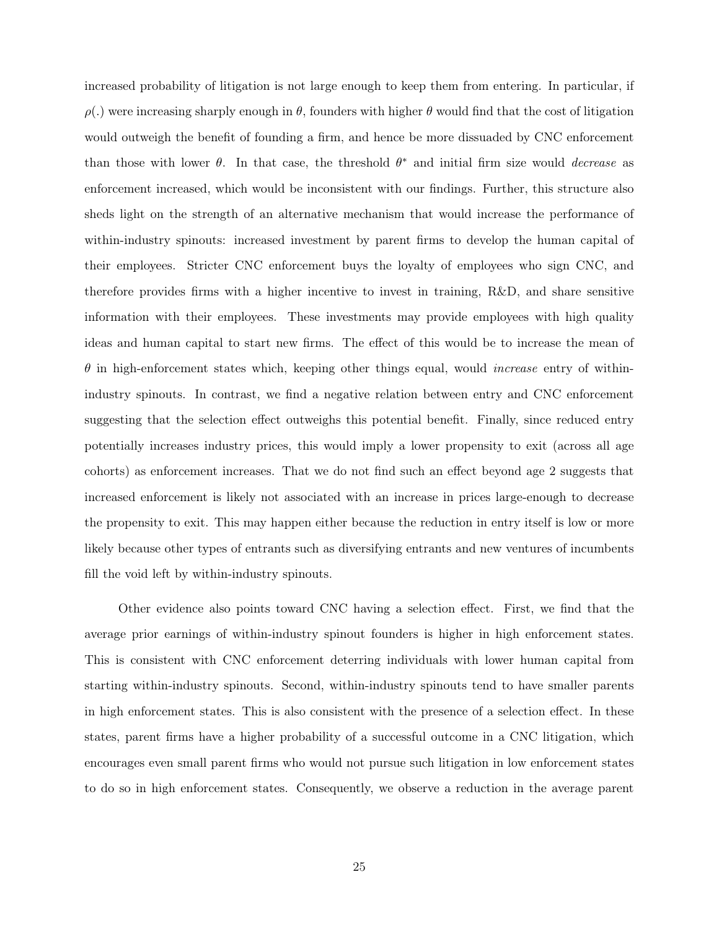increased probability of litigation is not large enough to keep them from entering. In particular, if  $\rho(.)$  were increasing sharply enough in  $\theta$ , founders with higher  $\theta$  would find that the cost of litigation would outweigh the benefit of founding a firm, and hence be more dissuaded by CNC enforcement than those with lower  $\theta$ . In that case, the threshold  $\theta^*$  and initial firm size would *decrease* as enforcement increased, which would be inconsistent with our findings. Further, this structure also sheds light on the strength of an alternative mechanism that would increase the performance of within-industry spinouts: increased investment by parent firms to develop the human capital of their employees. Stricter CNC enforcement buys the loyalty of employees who sign CNC, and therefore provides firms with a higher incentive to invest in training, R&D, and share sensitive information with their employees. These investments may provide employees with high quality ideas and human capital to start new firms. The effect of this would be to increase the mean of  $\theta$  in high-enforcement states which, keeping other things equal, would *increase* entry of withinindustry spinouts. In contrast, we find a negative relation between entry and CNC enforcement suggesting that the selection effect outweighs this potential benefit. Finally, since reduced entry potentially increases industry prices, this would imply a lower propensity to exit (across all age cohorts) as enforcement increases. That we do not find such an effect beyond age 2 suggests that increased enforcement is likely not associated with an increase in prices large-enough to decrease the propensity to exit. This may happen either because the reduction in entry itself is low or more likely because other types of entrants such as diversifying entrants and new ventures of incumbents fill the void left by within-industry spinouts.

Other evidence also points toward CNC having a selection effect. First, we find that the average prior earnings of within-industry spinout founders is higher in high enforcement states. This is consistent with CNC enforcement deterring individuals with lower human capital from starting within-industry spinouts. Second, within-industry spinouts tend to have smaller parents in high enforcement states. This is also consistent with the presence of a selection effect. In these states, parent firms have a higher probability of a successful outcome in a CNC litigation, which encourages even small parent firms who would not pursue such litigation in low enforcement states to do so in high enforcement states. Consequently, we observe a reduction in the average parent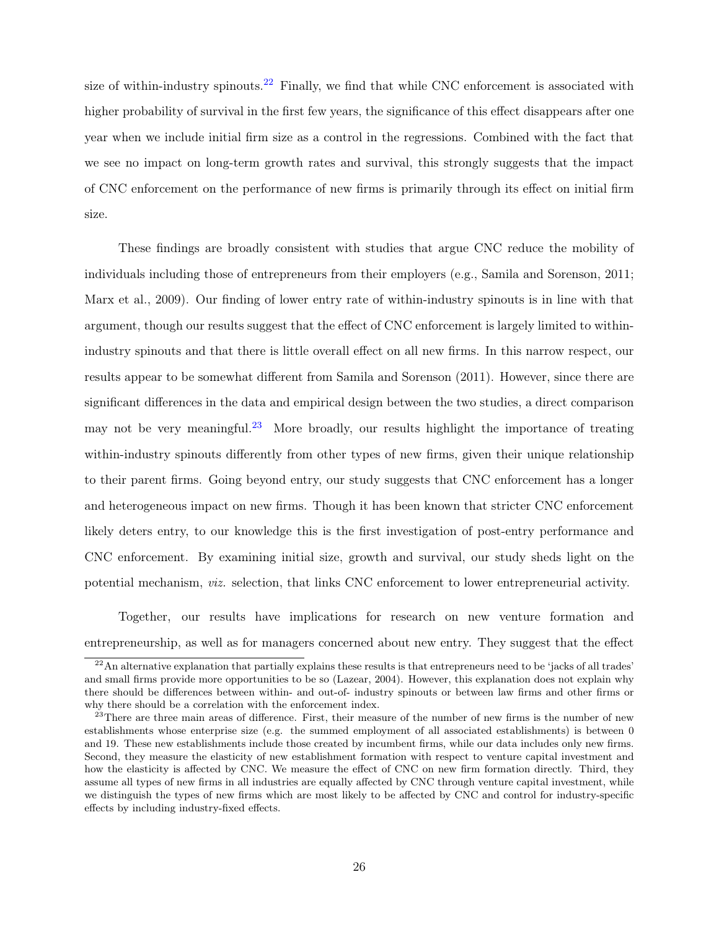size of within-industry spinouts.<sup>[22](#page-26-0)</sup> Finally, we find that while CNC enforcement is associated with higher probability of survival in the first few years, the significance of this effect disappears after one year when we include initial firm size as a control in the regressions. Combined with the fact that we see no impact on long-term growth rates and survival, this strongly suggests that the impact of CNC enforcement on the performance of new firms is primarily through its effect on initial firm size.

These findings are broadly consistent with studies that argue CNC reduce the mobility of individuals including those of entrepreneurs from their employers (e.g., Samila and Sorenson, 2011; Marx et al., 2009). Our finding of lower entry rate of within-industry spinouts is in line with that argument, though our results suggest that the effect of CNC enforcement is largely limited to withinindustry spinouts and that there is little overall effect on all new firms. In this narrow respect, our results appear to be somewhat different from Samila and Sorenson (2011). However, since there are significant differences in the data and empirical design between the two studies, a direct comparison may not be very meaningful.<sup>[23](#page-26-1)</sup> More broadly, our results highlight the importance of treating within-industry spinouts differently from other types of new firms, given their unique relationship to their parent firms. Going beyond entry, our study suggests that CNC enforcement has a longer and heterogeneous impact on new firms. Though it has been known that stricter CNC enforcement likely deters entry, to our knowledge this is the first investigation of post-entry performance and CNC enforcement. By examining initial size, growth and survival, our study sheds light on the potential mechanism, viz. selection, that links CNC enforcement to lower entrepreneurial activity.

Together, our results have implications for research on new venture formation and entrepreneurship, as well as for managers concerned about new entry. They suggest that the effect

<span id="page-26-0"></span> $^{22}$ An alternative explanation that partially explains these results is that entrepreneurs need to be 'jacks of all trades' and small firms provide more opportunities to be so (Lazear, 2004). However, this explanation does not explain why there should be differences between within- and out-of- industry spinouts or between law firms and other firms or why there should be a correlation with the enforcement index.

<span id="page-26-1"></span><sup>&</sup>lt;sup>23</sup>There are three main areas of difference. First, their measure of the number of new firms is the number of new establishments whose enterprise size (e.g. the summed employment of all associated establishments) is between 0 and 19. These new establishments include those created by incumbent firms, while our data includes only new firms. Second, they measure the elasticity of new establishment formation with respect to venture capital investment and how the elasticity is affected by CNC. We measure the effect of CNC on new firm formation directly. Third, they assume all types of new firms in all industries are equally affected by CNC through venture capital investment, while we distinguish the types of new firms which are most likely to be affected by CNC and control for industry-specific effects by including industry-fixed effects.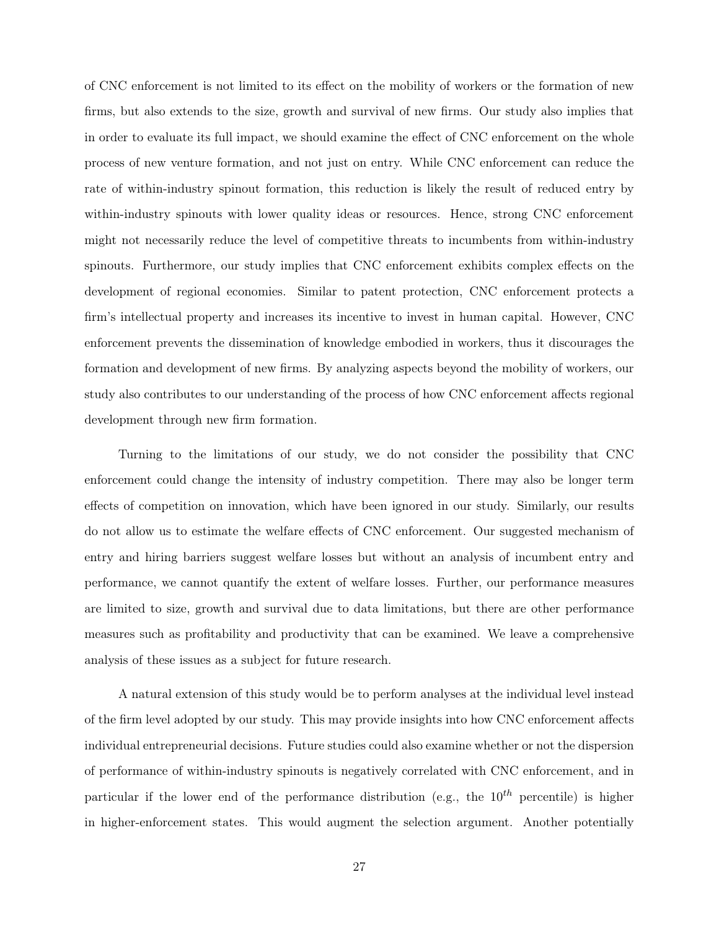of CNC enforcement is not limited to its effect on the mobility of workers or the formation of new firms, but also extends to the size, growth and survival of new firms. Our study also implies that in order to evaluate its full impact, we should examine the effect of CNC enforcement on the whole process of new venture formation, and not just on entry. While CNC enforcement can reduce the rate of within-industry spinout formation, this reduction is likely the result of reduced entry by within-industry spinouts with lower quality ideas or resources. Hence, strong CNC enforcement might not necessarily reduce the level of competitive threats to incumbents from within-industry spinouts. Furthermore, our study implies that CNC enforcement exhibits complex effects on the development of regional economies. Similar to patent protection, CNC enforcement protects a firm's intellectual property and increases its incentive to invest in human capital. However, CNC enforcement prevents the dissemination of knowledge embodied in workers, thus it discourages the formation and development of new firms. By analyzing aspects beyond the mobility of workers, our study also contributes to our understanding of the process of how CNC enforcement affects regional development through new firm formation.

Turning to the limitations of our study, we do not consider the possibility that CNC enforcement could change the intensity of industry competition. There may also be longer term effects of competition on innovation, which have been ignored in our study. Similarly, our results do not allow us to estimate the welfare effects of CNC enforcement. Our suggested mechanism of entry and hiring barriers suggest welfare losses but without an analysis of incumbent entry and performance, we cannot quantify the extent of welfare losses. Further, our performance measures are limited to size, growth and survival due to data limitations, but there are other performance measures such as profitability and productivity that can be examined. We leave a comprehensive analysis of these issues as a subject for future research.

A natural extension of this study would be to perform analyses at the individual level instead of the firm level adopted by our study. This may provide insights into how CNC enforcement affects individual entrepreneurial decisions. Future studies could also examine whether or not the dispersion of performance of within-industry spinouts is negatively correlated with CNC enforcement, and in particular if the lower end of the performance distribution (e.g., the  $10^{th}$  percentile) is higher in higher-enforcement states. This would augment the selection argument. Another potentially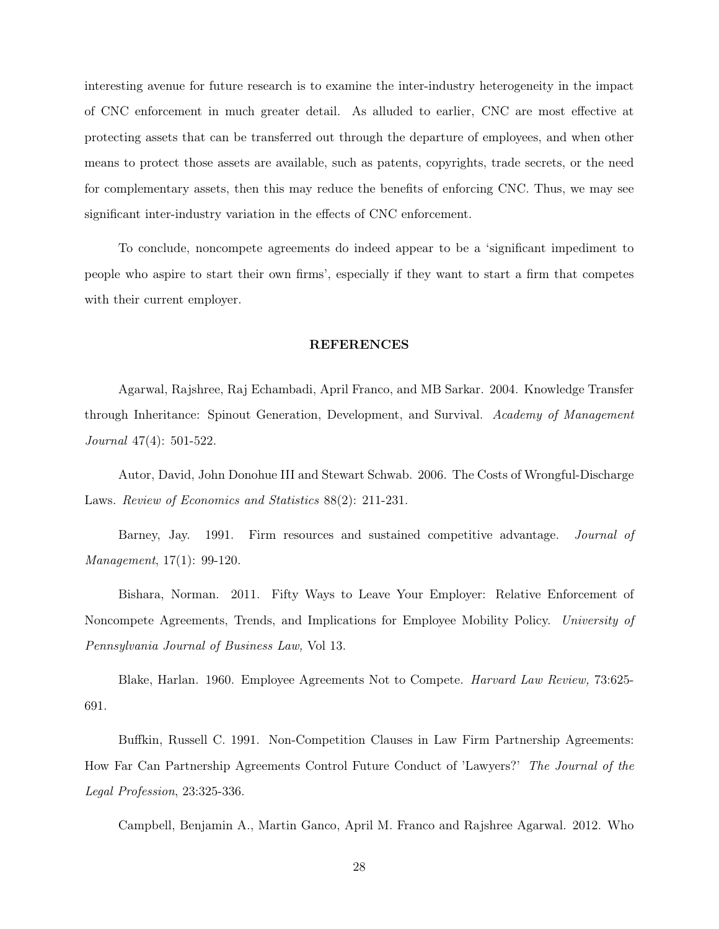interesting avenue for future research is to examine the inter-industry heterogeneity in the impact of CNC enforcement in much greater detail. As alluded to earlier, CNC are most effective at protecting assets that can be transferred out through the departure of employees, and when other means to protect those assets are available, such as patents, copyrights, trade secrets, or the need for complementary assets, then this may reduce the benefits of enforcing CNC. Thus, we may see significant inter-industry variation in the effects of CNC enforcement.

To conclude, noncompete agreements do indeed appear to be a 'significant impediment to people who aspire to start their own firms', especially if they want to start a firm that competes with their current employer.

#### REFERENCES

Agarwal, Rajshree, Raj Echambadi, April Franco, and MB Sarkar. 2004. Knowledge Transfer through Inheritance: Spinout Generation, Development, and Survival. Academy of Management Journal 47(4): 501-522.

Autor, David, John Donohue III and Stewart Schwab. 2006. The Costs of Wrongful-Discharge Laws. Review of Economics and Statistics 88(2): 211-231.

Barney, Jay. 1991. Firm resources and sustained competitive advantage. *Journal of* Management, 17(1): 99-120.

Bishara, Norman. 2011. Fifty Ways to Leave Your Employer: Relative Enforcement of Noncompete Agreements, Trends, and Implications for Employee Mobility Policy. University of Pennsylvania Journal of Business Law, Vol 13.

Blake, Harlan. 1960. Employee Agreements Not to Compete. Harvard Law Review, 73:625- 691.

Buffkin, Russell C. 1991. Non-Competition Clauses in Law Firm Partnership Agreements: How Far Can Partnership Agreements Control Future Conduct of 'Lawyers?' The Journal of the Legal Profession, 23:325-336.

Campbell, Benjamin A., Martin Ganco, April M. Franco and Rajshree Agarwal. 2012. Who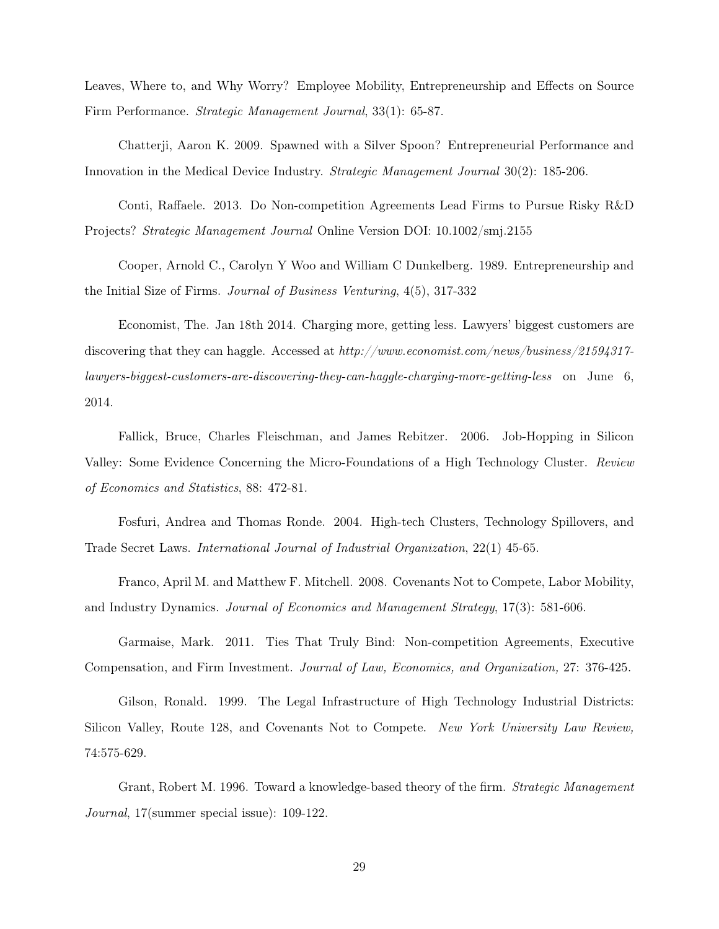Leaves, Where to, and Why Worry? Employee Mobility, Entrepreneurship and Effects on Source Firm Performance. Strategic Management Journal, 33(1): 65-87.

Chatterji, Aaron K. 2009. Spawned with a Silver Spoon? Entrepreneurial Performance and Innovation in the Medical Device Industry. Strategic Management Journal 30(2): 185-206.

Conti, Raffaele. 2013. Do Non-competition Agreements Lead Firms to Pursue Risky R&D Projects? Strategic Management Journal Online Version DOI: 10.1002/smj.2155

Cooper, Arnold C., Carolyn Y Woo and William C Dunkelberg. 1989. Entrepreneurship and the Initial Size of Firms. Journal of Business Venturing, 4(5), 317-332

Economist, The. Jan 18th 2014. Charging more, getting less. Lawyers' biggest customers are discovering that they can haggle. Accessed at http://www.economist.com/news/business/21594317 lawyers-biggest-customers-are-discovering-they-can-haggle-charging-more-getting-less on June 6, 2014.

Fallick, Bruce, Charles Fleischman, and James Rebitzer. 2006. Job-Hopping in Silicon Valley: Some Evidence Concerning the Micro-Foundations of a High Technology Cluster. Review of Economics and Statistics, 88: 472-81.

Fosfuri, Andrea and Thomas Ronde. 2004. High-tech Clusters, Technology Spillovers, and Trade Secret Laws. International Journal of Industrial Organization, 22(1) 45-65.

Franco, April M. and Matthew F. Mitchell. 2008. Covenants Not to Compete, Labor Mobility, and Industry Dynamics. Journal of Economics and Management Strategy, 17(3): 581-606.

Garmaise, Mark. 2011. Ties That Truly Bind: Non-competition Agreements, Executive Compensation, and Firm Investment. Journal of Law, Economics, and Organization, 27: 376-425.

Gilson, Ronald. 1999. The Legal Infrastructure of High Technology Industrial Districts: Silicon Valley, Route 128, and Covenants Not to Compete. New York University Law Review, 74:575-629.

Grant, Robert M. 1996. Toward a knowledge-based theory of the firm. Strategic Management Journal, 17(summer special issue): 109-122.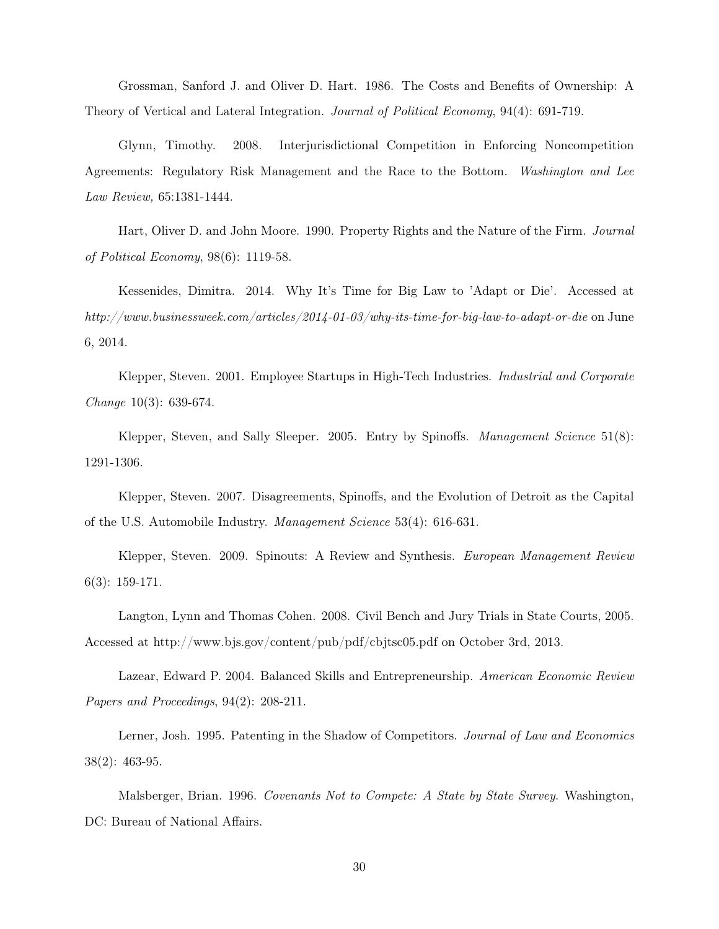Grossman, Sanford J. and Oliver D. Hart. 1986. The Costs and Benefits of Ownership: A Theory of Vertical and Lateral Integration. Journal of Political Economy, 94(4): 691-719.

Glynn, Timothy. 2008. Interjurisdictional Competition in Enforcing Noncompetition Agreements: Regulatory Risk Management and the Race to the Bottom. Washington and Lee Law Review, 65:1381-1444.

Hart, Oliver D. and John Moore. 1990. Property Rights and the Nature of the Firm. Journal of Political Economy, 98(6): 1119-58.

Kessenides, Dimitra. 2014. Why It's Time for Big Law to 'Adapt or Die'. Accessed at http://www.businessweek.com/articles/2014-01-03/why-its-time-for-big-law-to-adapt-or-die on June 6, 2014.

Klepper, Steven. 2001. Employee Startups in High-Tech Industries. Industrial and Corporate Change 10(3): 639-674.

Klepper, Steven, and Sally Sleeper. 2005. Entry by Spinoffs. *Management Science* 51(8): 1291-1306.

Klepper, Steven. 2007. Disagreements, Spinoffs, and the Evolution of Detroit as the Capital of the U.S. Automobile Industry. Management Science 53(4): 616-631.

Klepper, Steven. 2009. Spinouts: A Review and Synthesis. European Management Review 6(3): 159-171.

Langton, Lynn and Thomas Cohen. 2008. Civil Bench and Jury Trials in State Courts, 2005. Accessed at http://www.bjs.gov/content/pub/pdf/cbjtsc05.pdf on October 3rd, 2013.

Lazear, Edward P. 2004. Balanced Skills and Entrepreneurship. American Economic Review Papers and Proceedings, 94(2): 208-211.

Lerner, Josh. 1995. Patenting in the Shadow of Competitors. Journal of Law and Economics 38(2): 463-95.

Malsberger, Brian. 1996. Covenants Not to Compete: A State by State Survey. Washington, DC: Bureau of National Affairs.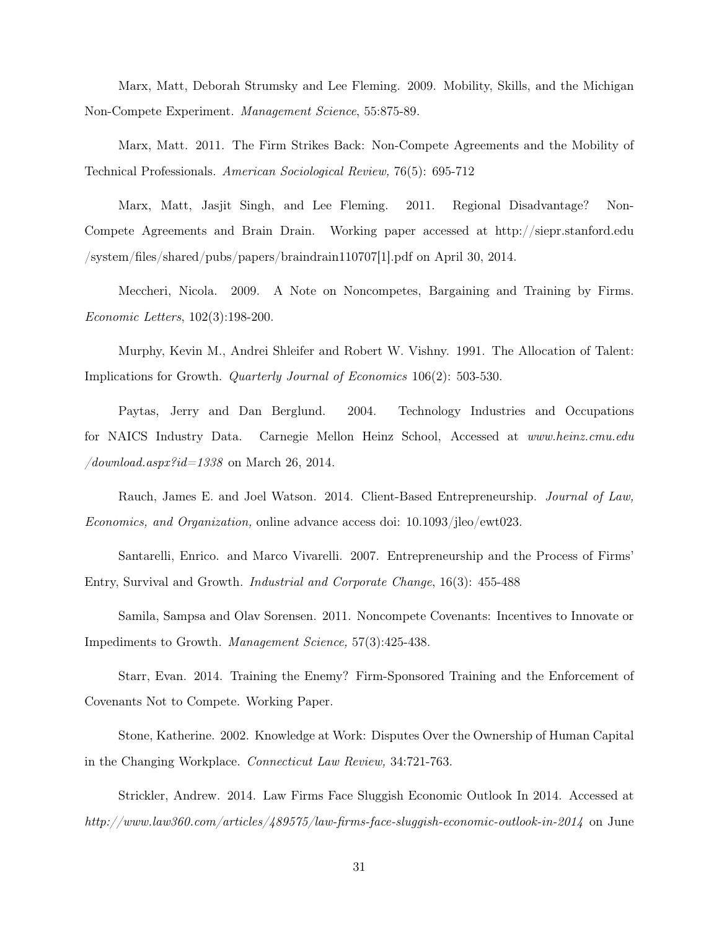Marx, Matt, Deborah Strumsky and Lee Fleming. 2009. Mobility, Skills, and the Michigan Non-Compete Experiment. Management Science, 55:875-89.

Marx, Matt. 2011. The Firm Strikes Back: Non-Compete Agreements and the Mobility of Technical Professionals. American Sociological Review, 76(5): 695-712

Marx, Matt, Jasjit Singh, and Lee Fleming. 2011. Regional Disadvantage? Non-Compete Agreements and Brain Drain. Working paper accessed at http://siepr.stanford.edu /system/files/shared/pubs/papers/braindrain110707[1].pdf on April 30, 2014.

Meccheri, Nicola. 2009. A Note on Noncompetes, Bargaining and Training by Firms. Economic Letters, 102(3):198-200.

Murphy, Kevin M., Andrei Shleifer and Robert W. Vishny. 1991. The Allocation of Talent: Implications for Growth. Quarterly Journal of Economics 106(2): 503-530.

Paytas, Jerry and Dan Berglund. 2004. Technology Industries and Occupations for NAICS Industry Data. Carnegie Mellon Heinz School, Accessed at www.heinz.cmu.edu /download.aspx?id=1338 on March 26, 2014.

Rauch, James E. and Joel Watson. 2014. Client-Based Entrepreneurship. Journal of Law, Economics, and Organization, online advance access doi: 10.1093/jleo/ewt023.

Santarelli, Enrico. and Marco Vivarelli. 2007. Entrepreneurship and the Process of Firms' Entry, Survival and Growth. Industrial and Corporate Change, 16(3): 455-488

Samila, Sampsa and Olav Sorensen. 2011. Noncompete Covenants: Incentives to Innovate or Impediments to Growth. Management Science, 57(3):425-438.

Starr, Evan. 2014. Training the Enemy? Firm-Sponsored Training and the Enforcement of Covenants Not to Compete. Working Paper.

Stone, Katherine. 2002. Knowledge at Work: Disputes Over the Ownership of Human Capital in the Changing Workplace. Connecticut Law Review, 34:721-763.

Strickler, Andrew. 2014. Law Firms Face Sluggish Economic Outlook In 2014. Accessed at http://www.law360.com/articles/489575/law-firms-face-sluggish-economic-outlook-in-2014 on June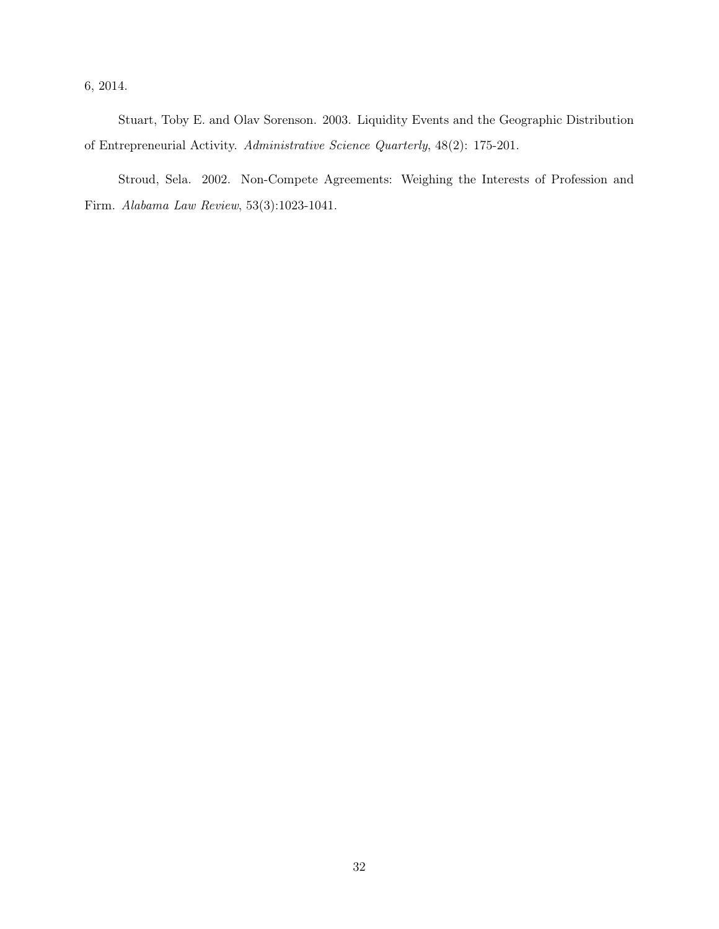6, 2014.

Stuart, Toby E. and Olav Sorenson. 2003. Liquidity Events and the Geographic Distribution of Entrepreneurial Activity. Administrative Science Quarterly, 48(2): 175-201.

Stroud, Sela. 2002. Non-Compete Agreements: Weighing the Interests of Profession and Firm. Alabama Law Review, 53(3):1023-1041.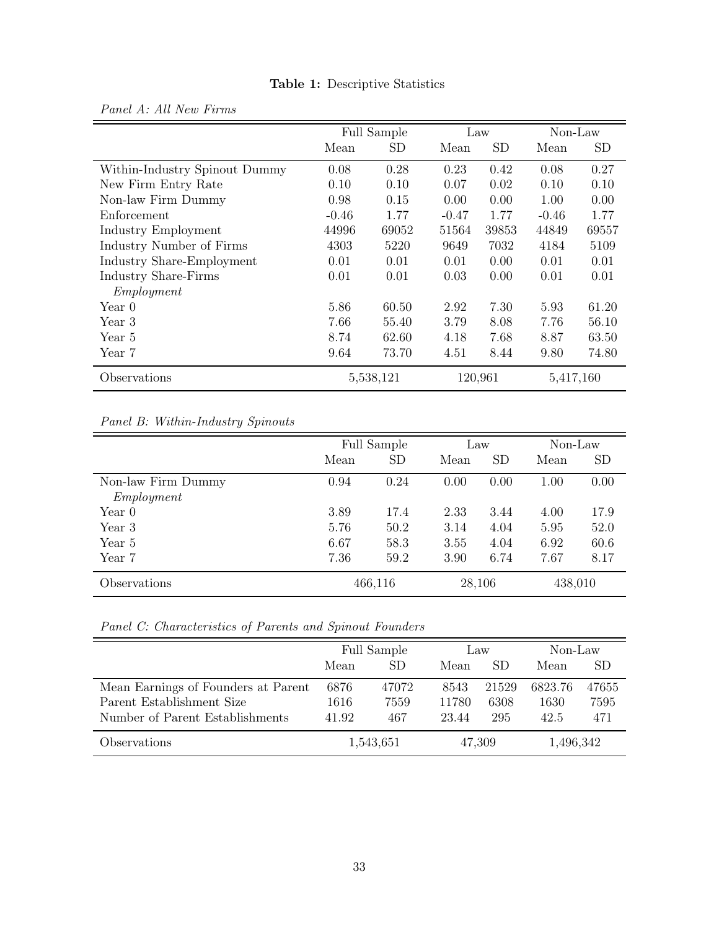|                               |           | Full Sample | Law     |           | Non-Law   |       |
|-------------------------------|-----------|-------------|---------|-----------|-----------|-------|
|                               | Mean      | SD          | Mean    | <b>SD</b> | Mean      | SD    |
| Within-Industry Spinout Dummy | 0.08      | 0.28        | 0.23    | 0.42      | 0.08      | 0.27  |
| New Firm Entry Rate           | 0.10      | 0.10        | 0.07    | 0.02      | 0.10      | 0.10  |
| Non-law Firm Dummy            | 0.98      | 0.15        | 0.00    | 0.00      | 1.00      | 0.00  |
| Enforcement                   | $-0.46$   | 1.77        | $-0.47$ | 1.77      | $-0.46$   | 1.77  |
| Industry Employment           | 44996     | 69052       | 51564   | 39853     | 44849     | 69557 |
| Industry Number of Firms      | 4303      | 5220        | 9649    | 7032      | 4184      | 5109  |
| Industry Share-Employment     | 0.01      | 0.01        | 0.01    | 0.00      | 0.01      | 0.01  |
| <b>Industry Share-Firms</b>   | 0.01      | 0.01        | 0.03    | 0.00      | 0.01      | 0.01  |
| Employment                    |           |             |         |           |           |       |
| Year 0                        | 5.86      | 60.50       | 2.92    | 7.30      | 5.93      | 61.20 |
| Year 3                        | 7.66      | 55.40       | 3.79    | 8.08      | 7.76      | 56.10 |
| Year 5                        | 8.74      | 62.60       | 4.18    | 7.68      | 8.87      | 63.50 |
| Year 7                        | 9.64      | 73.70       | 4.51    | 8.44      | 9.80      | 74.80 |
| Observations                  | 5,538,121 |             | 120,961 |           | 5,417,160 |       |

# Table 1: Descriptive Statistics

Panel B: Within-Industry Spinouts

<span id="page-33-0"></span>Panel A: All New Firms

|                    | Full Sample |           | Law    |           | Non-Law |           |
|--------------------|-------------|-----------|--------|-----------|---------|-----------|
|                    | Mean        | <b>SD</b> | Mean   | <b>SD</b> | Mean    | <b>SD</b> |
| Non-law Firm Dummy | 0.94        | 0.24      | 0.00   | 0.00      | 1.00    | 0.00      |
| Employment         |             |           |        |           |         |           |
| Year 0             | 3.89        | 17.4      | 2.33   | 3.44      | 4.00    | 17.9      |
| Year 3             | 5.76        | 50.2      | 3.14   | 4.04      | 5.95    | 52.0      |
| Year 5             | 6.67        | 58.3      | 3.55   | 4.04      | 6.92    | 60.6      |
| Year 7             | 7.36        | 59.2      | 3.90   | 6.74      | 7.67    | 8.17      |
| Observations       |             | 466,116   | 28,106 |           | 438,010 |           |

Panel C: Characteristics of Parents and Spinout Founders

|                                     | Full Sample |           | Law    |       | Non-Law   |       |
|-------------------------------------|-------------|-----------|--------|-------|-----------|-------|
|                                     | Mean        | <b>SD</b> | Mean   | SD.   | Mean      | SD    |
| Mean Earnings of Founders at Parent | 6876        | 47072     | 8543   | 21529 | 6823.76   | 47655 |
| Parent Establishment Size           | 1616        | 7559      | 11780  | 6308  | 1630      | 7595  |
| Number of Parent Establishments     | 41.92       | 467       | 23.44  | 295   | 42.5      | 471   |
| Observations                        |             | 1,543,651 | 47,309 |       | 1,496,342 |       |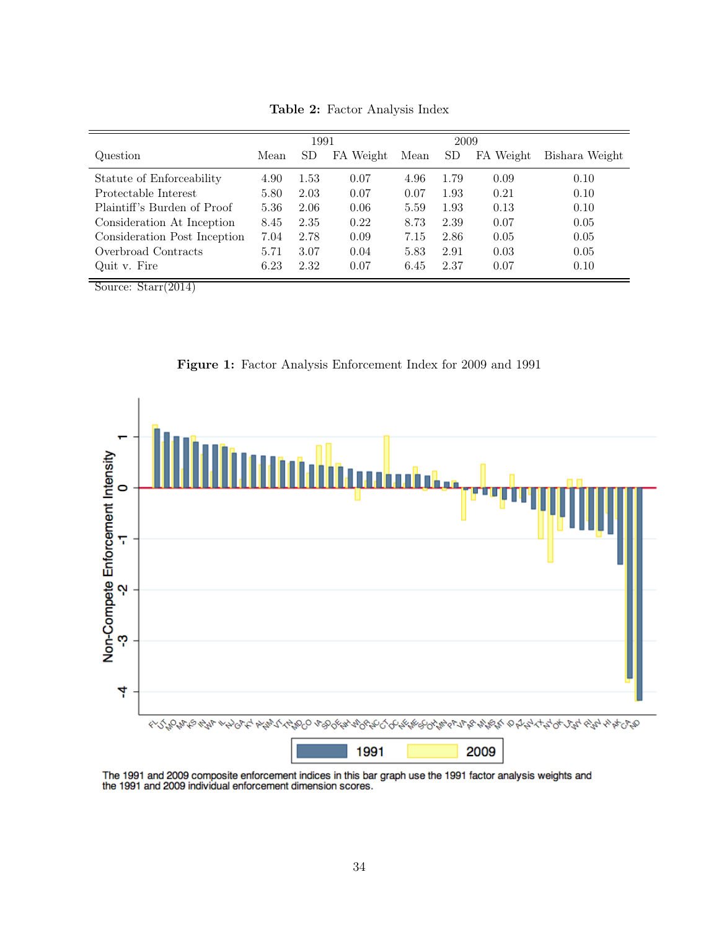<span id="page-34-0"></span>

|                              |      | 1991 |           |      | 2009 |           |                |
|------------------------------|------|------|-----------|------|------|-----------|----------------|
| Question                     | Mean | SD   | FA Weight | Mean | SD   | FA Weight | Bishara Weight |
| Statute of Enforceability    | 4.90 | 1.53 | 0.07      | 4.96 | 1.79 | 0.09      | 0.10           |
| Protectable Interest         | 5.80 | 2.03 | 0.07      | 0.07 | 1.93 | 0.21      | 0.10           |
| Plaintiff's Burden of Proof  | 5.36 | 2.06 | 0.06      | 5.59 | 1.93 | 0.13      | 0.10           |
| Consideration At Inception   | 8.45 | 2.35 | 0.22      | 8.73 | 2.39 | 0.07      | 0.05           |
| Consideration Post Inception | 7.04 | 2.78 | 0.09      | 7.15 | 2.86 | 0.05      | 0.05           |
| Overbroad Contracts          | 5.71 | 3.07 | 0.04      | 5.83 | 2.91 | 0.03      | 0.05           |
| Quit v. Fire                 | 6.23 | 2.32 | 0.07      | 6.45 | 2.37 | 0.07      | 0.10           |

Table 2: Factor Analysis Index

Source: Starr(2014)

Figure 1: Factor Analysis Enforcement Index for 2009 and 1991

<span id="page-34-1"></span>

The 1991 and 2009 composite enforcement indices in this bar graph use the 1991 factor analysis weights and the 1991 and 2009 individual enforcement dimension scores.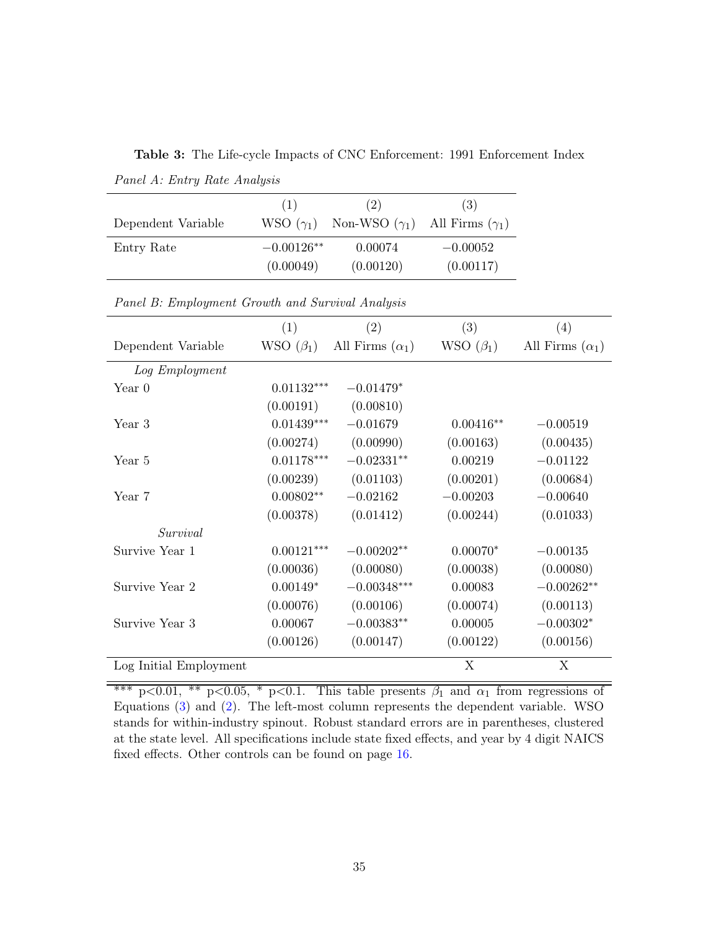<span id="page-35-0"></span>Table 3: The Life-cycle Impacts of CNC Enforcement: 1991 Enforcement Index

| Dependent Variable | (1)<br>WSO $(\gamma_1)$ | (2)<br>Non-WSO $(\gamma_1)$ All Firms $(\gamma_1)$ | (3)        |
|--------------------|-------------------------|----------------------------------------------------|------------|
| Entry Rate         | $-0.00126**$            | 0.00074                                            | $-0.00052$ |
|                    | (0.00049)               | (0.00120)                                          | (0.00117)  |

Panel A: Entry Rate Analysis

|                        | (1)             | $\left( 2\right)$      | (3)             | (4)                    |
|------------------------|-----------------|------------------------|-----------------|------------------------|
| Dependent Variable     | WSO $(\beta_1)$ | All Firms $(\alpha_1)$ | WSO $(\beta_1)$ | All Firms $(\alpha_1)$ |
| Log Employment         |                 |                        |                 |                        |
| Year $0$               | $0.01132***$    | $-0.01479*$            |                 |                        |
|                        | (0.00191)       | (0.00810)              |                 |                        |
| Year 3                 | $0.01439***$    | $-0.01679$             | $0.00416**$     | $-0.00519$             |
|                        | (0.00274)       | (0.00990)              | (0.00163)       | (0.00435)              |
| Year 5                 | $0.01178***$    | $-0.02331**$           | 0.00219         | $-0.01122$             |
|                        | (0.00239)       | (0.01103)              | (0.00201)       | (0.00684)              |
| Year 7                 | $0.00802**$     | $-0.02162$             | $-0.00203$      | $-0.00640$             |
|                        | (0.00378)       | (0.01412)              | (0.00244)       | (0.01033)              |
| Survival               |                 |                        |                 |                        |
| Survive Year 1         | $0.00121***$    | $-0.00202**$           | $0.00070*$      | $-0.00135$             |
|                        | (0.00036)       | (0.00080)              | (0.00038)       | (0.00080)              |
| Survive Year 2         | $0.00149*$      | $-0.00348***$          | 0.00083         | $-0.00262**$           |
|                        | (0.00076)       | (0.00106)              | (0.00074)       | (0.00113)              |
| Survive Year 3         | 0.00067         | $-0.00383**$           | 0.00005         | $-0.00302*$            |
|                        | (0.00126)       | (0.00147)              | (0.00122)       | (0.00156)              |
| Log Initial Employment |                 |                        | X               | X                      |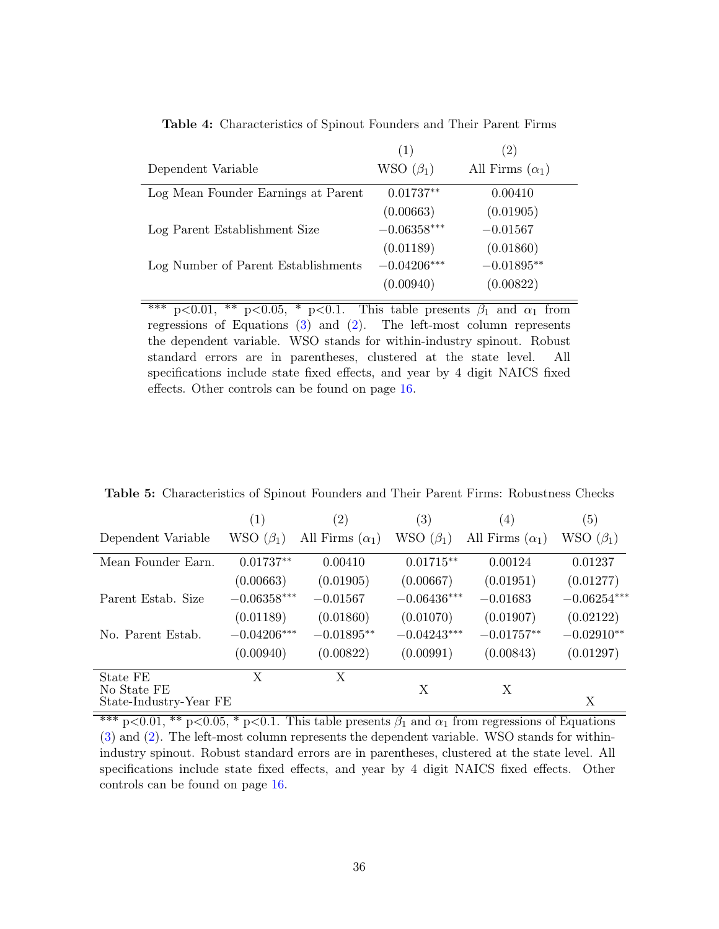Table 4: Characteristics of Spinout Founders and Their Parent Firms

<span id="page-36-0"></span>

|                                     | (1)             | (2)                    |
|-------------------------------------|-----------------|------------------------|
| Dependent Variable                  | WSO $(\beta_1)$ | All Firms $(\alpha_1)$ |
| Log Mean Founder Earnings at Parent | $0.01737**$     | 0.00410                |
|                                     | (0.00663)       | (0.01905)              |
| Log Parent Establishment Size       | $-0.06358***$   | $-0.01567$             |
|                                     | (0.01189)       | (0.01860)              |
| Log Number of Parent Establishments | $-0.04206***$   | $-0.01895**$           |
|                                     | (0.00940)       | (0.00822)              |

\*\*\* p<0.01, \*\* p<0.05, \* p<0.1. This table presents  $\beta_1$  and  $\alpha_1$  from regressions of Equations [\(3\)](#page-15-2) and [\(2\)](#page-15-1). The left-most column represents the dependent variable. WSO stands for within-industry spinout. Robust standard errors are in parentheses, clustered at the state level. All specifications include state fixed effects, and year by 4 digit NAICS fixed effects. Other controls can be found on page [16.](#page-15-2)

<span id="page-36-1"></span>Table 5: Characteristics of Spinout Founders and Their Parent Firms: Robustness Checks

|                                       | (1)             | (2)                    | $\left( 3\right)$ | (4)                    | (5)             |
|---------------------------------------|-----------------|------------------------|-------------------|------------------------|-----------------|
| Dependent Variable                    | WSO $(\beta_1)$ | All Firms $(\alpha_1)$ | WSO $(\beta_1)$   | All Firms $(\alpha_1)$ | WSO $(\beta_1)$ |
| Mean Founder Earn.                    | $0.01737**$     | 0.00410                | $0.01715**$       | 0.00124                | 0.01237         |
|                                       | (0.00663)       | (0.01905)              | (0.00667)         | (0.01951)              | (0.01277)       |
| Parent Estab. Size                    | $-0.06358***$   | $-0.01567$             | $-0.06436***$     | $-0.01683$             | $-0.06254***$   |
|                                       | (0.01189)       | (0.01860)              | (0.01070)         | (0.01907)              | (0.02122)       |
| No. Parent Estab.                     | $-0.04206***$   | $-0.01895**$           | $-0.04243***$     | $-0.01757**$           | $-0.02910**$    |
|                                       | (0.00940)       | (0.00822)              | (0.00991)         | (0.00843)              | (0.01297)       |
| State FE                              | Χ               | X                      |                   |                        |                 |
| No State FE<br>State-Industry-Year FE |                 |                        | X                 | X                      | X               |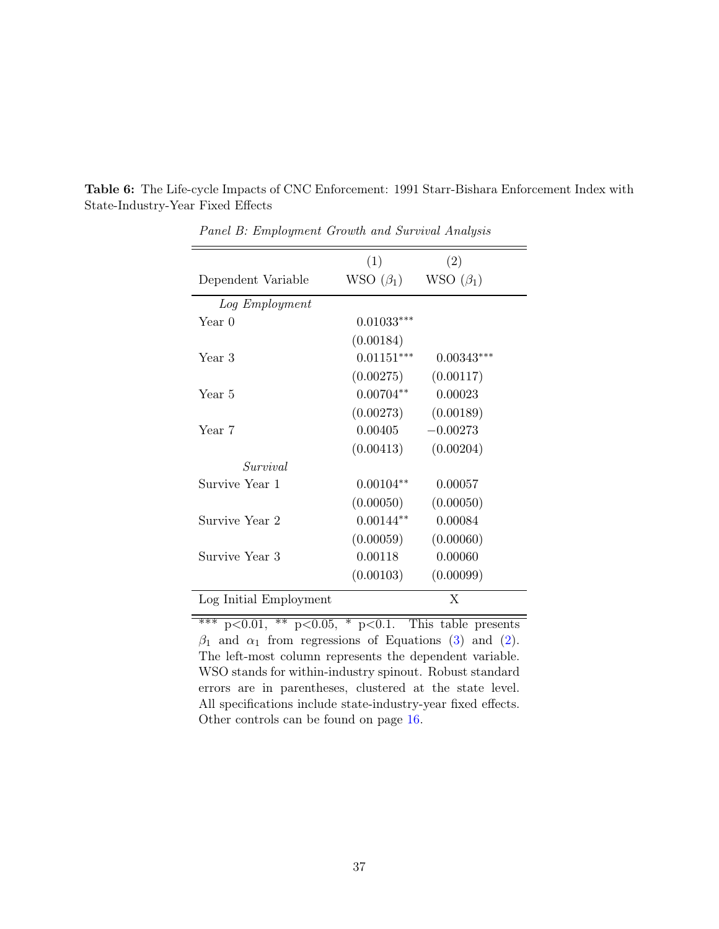|                        | (1)             | (2)             |
|------------------------|-----------------|-----------------|
| Dependent Variable     | WSO $(\beta_1)$ | WSO $(\beta_1)$ |
| Log Employment         |                 |                 |
| Year 0                 | $0.01033***$    |                 |
|                        | (0.00184)       |                 |
| Year 3                 | $0.01151***$    | $0.00343***$    |
|                        | (0.00275)       | (0.00117)       |
| Year 5                 | $0.00704**$     | 0.00023         |
|                        | (0.00273)       | (0.00189)       |
| Year 7                 | 0.00405         | $-0.00273$      |
|                        | (0.00413)       | (0.00204)       |
| Survival               |                 |                 |
| Survive Year 1         | $0.00104**$     | 0.00057         |
|                        | (0.00050)       | (0.00050)       |
| Survive Year 2         | $0.00144**$     | 0.00084         |
|                        | (0.00059)       | (0.00060)       |
| Survive Year 3         | 0.00118         | 0.00060         |
|                        | (0.00103)       | (0.00099)       |
| Log Initial Employment |                 | X               |

<span id="page-37-0"></span>Table 6: The Life-cycle Impacts of CNC Enforcement: 1991 Starr-Bishara Enforcement Index with State-Industry-Year Fixed Effects

Panel B: Employment Growth and Survival Analysis

 $\frac{1}{2}$  \*\*\* p<0.01, \*\* p<0.05, \* p<0.1. This table presents  $\beta_1$  and  $\alpha_1$  from regressions of Equations [\(3\)](#page-15-2) and [\(2\)](#page-15-1). The left-most column represents the dependent variable. WSO stands for within-industry spinout. Robust standard errors are in parentheses, clustered at the state level. All specifications include state-industry-year fixed effects. Other controls can be found on page [16.](#page-15-2)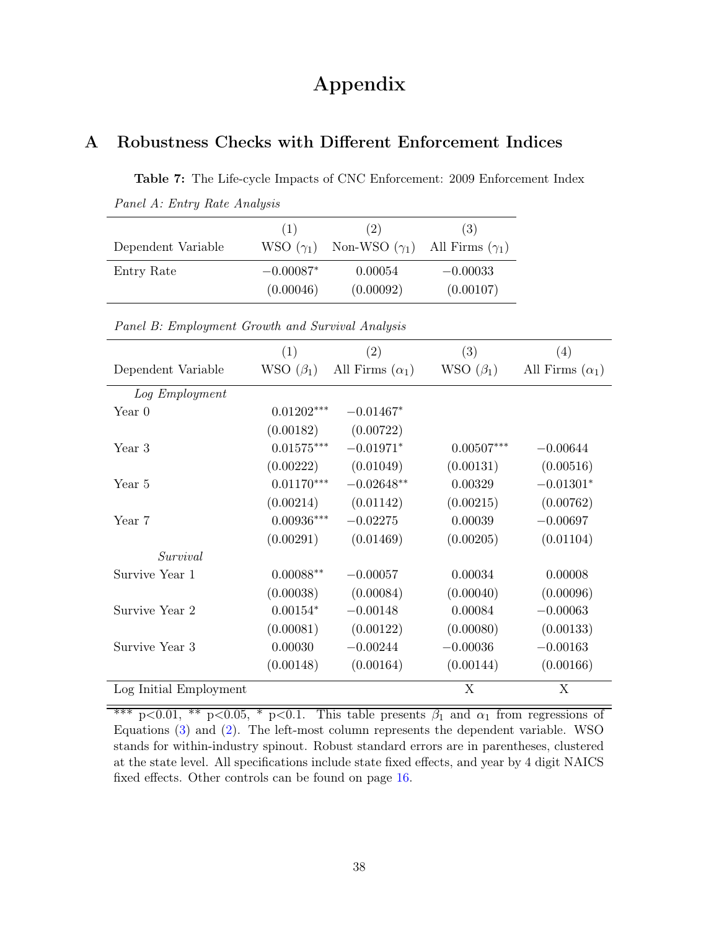# Appendix

# <span id="page-38-0"></span>A Robustness Checks with Different Enforcement Indices

Table 7: The Life-cycle Impacts of CNC Enforcement: 2009 Enforcement Index Panel A: Entry Rate Analysis

| Dependent Variable | (1)<br>WSO $(\gamma_1)$ | (2)<br>Non-WSO $(\gamma_1)$ All Firms $(\gamma_1)$ | (3)        |
|--------------------|-------------------------|----------------------------------------------------|------------|
| Entry Rate         | $-0.00087*$             | 0.00054                                            | $-0.00033$ |
|                    | (0.00046)               | (0.00092)                                          | (0.00107)  |

|                        | (1)                      | (2)                    | (3)             | (4)                    |
|------------------------|--------------------------|------------------------|-----------------|------------------------|
| Dependent Variable     | WSO $(\beta_1)$          | All Firms $(\alpha_1)$ | WSO $(\beta_1)$ | All Firms $(\alpha_1)$ |
| Log Employment         |                          |                        |                 |                        |
| Year $0$               | $0.01202***$             | $-0.01467*$            |                 |                        |
|                        | (0.00182)                | (0.00722)              |                 |                        |
| Year 3                 | $0.01575^{\ast\ast\ast}$ | $-0.01971*$            | $0.00507***$    | $-0.00644$             |
|                        | (0.00222)                | (0.01049)              | (0.00131)       | (0.00516)              |
| Year 5                 | $0.01170***$             | $-0.02648**$           | 0.00329         | $-0.01301*$            |
|                        | (0.00214)                | (0.01142)              | (0.00215)       | (0.00762)              |
| Year 7                 | $0.00936***$             | $-0.02275$             | 0.00039         | $-0.00697$             |
|                        | (0.00291)                | (0.01469)              | (0.00205)       | (0.01104)              |
| Survival               |                          |                        |                 |                        |
| Survive Year 1         | $0.00088**$              | $-0.00057$             | 0.00034         | 0.00008                |
|                        | (0.00038)                | (0.00084)              | (0.00040)       | (0.00096)              |
| Survive Year 2         | $0.00154*$               | $-0.00148$             | 0.00084         | $-0.00063$             |
|                        | (0.00081)                | (0.00122)              | (0.00080)       | (0.00133)              |
| Survive Year 3         | 0.00030                  | $-0.00244$             | $-0.00036$      | $-0.00163$             |
|                        | (0.00148)                | (0.00164)              | (0.00144)       | (0.00166)              |
| Log Initial Employment |                          |                        | X               | X                      |

Panel B: Employment Growth and Survival Analysis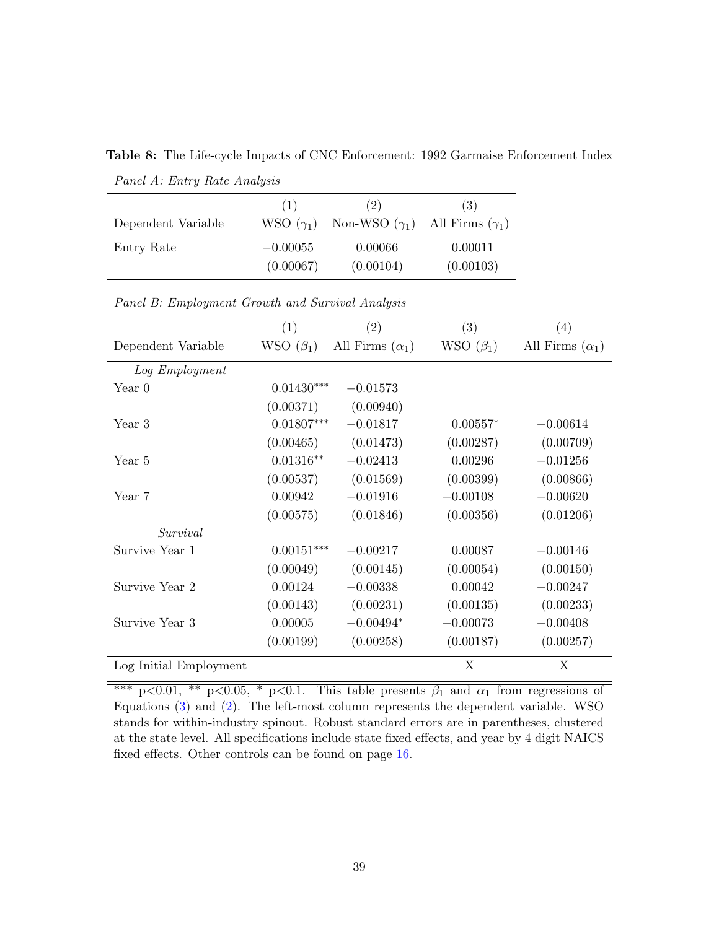|                    | (1)              | (2)                                         | (3)       |
|--------------------|------------------|---------------------------------------------|-----------|
| Dependent Variable | WSO $(\gamma_1)$ | Non-WSO $(\gamma_1)$ All Firms $(\gamma_1)$ |           |
| Entry Rate         | $-0.00055$       | 0.00066                                     | 0.00011   |
|                    | (0.00067)        | (0.00104)                                   | (0.00103) |

Table 8: The Life-cycle Impacts of CNC Enforcement: 1992 Garmaise Enforcement Index Panel A: Entry Rate Analysis

|                        | (1)             | $\left( 2\right)$      | (3)             | (4)                    |
|------------------------|-----------------|------------------------|-----------------|------------------------|
| Dependent Variable     | WSO $(\beta_1)$ | All Firms $(\alpha_1)$ | WSO $(\beta_1)$ | All Firms $(\alpha_1)$ |
| Log Employment         |                 |                        |                 |                        |
| Year 0                 | $0.01430***$    | $-0.01573$             |                 |                        |
|                        | (0.00371)       | (0.00940)              |                 |                        |
| Year 3                 | $0.01807***$    | $-0.01817$             | $0.00557*$      | $-0.00614$             |
|                        | (0.00465)       | (0.01473)              | (0.00287)       | (0.00709)              |
| Year 5                 | $0.01316**$     | $-0.02413$             | 0.00296         | $-0.01256$             |
|                        | (0.00537)       | (0.01569)              | (0.00399)       | (0.00866)              |
| Year 7                 | 0.00942         | $-0.01916$             | $-0.00108$      | $-0.00620$             |
|                        | (0.00575)       | (0.01846)              | (0.00356)       | (0.01206)              |
| Survival               |                 |                        |                 |                        |
| Survive Year 1         | $0.00151***$    | $-0.00217$             | 0.00087         | $-0.00146$             |
|                        | (0.00049)       | (0.00145)              | (0.00054)       | (0.00150)              |
| Survive Year 2         | 0.00124         | $-0.00338$             | 0.00042         | $-0.00247$             |
|                        | (0.00143)       | (0.00231)              | (0.00135)       | (0.00233)              |
| Survive Year 3         | 0.00005         | $-0.00494*$            | $-0.00073$      | $-0.00408$             |
|                        | (0.00199)       | (0.00258)              | (0.00187)       | (0.00257)              |
| Log Initial Employment |                 |                        | X               | Χ                      |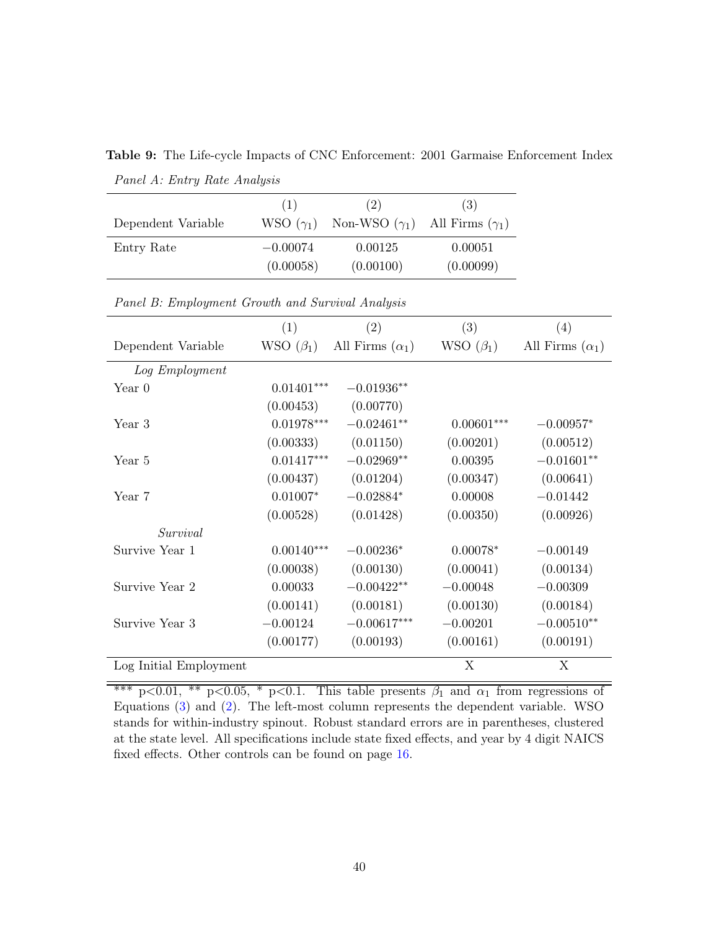|                    | (1)              | (2)                  | (3)                    |
|--------------------|------------------|----------------------|------------------------|
| Dependent Variable | WSO $(\gamma_1)$ | Non-WSO $(\gamma_1)$ | All Firms $(\gamma_1)$ |
| Entry Rate         | $-0.00074$       | 0.00125              | 0.00051                |
|                    | (0.00058)        | (0.00100)            | (0.00099)              |

<span id="page-40-0"></span>Table 9: The Life-cycle Impacts of CNC Enforcement: 2001 Garmaise Enforcement Index Panel A: Entry Rate Analysis

| Panel B: Employment Growth and Survival Analysis |  |  |
|--------------------------------------------------|--|--|
|                                                  |  |  |

|                        | (1)             | $\left( 2\right)$      | (3)             | (4)                    |
|------------------------|-----------------|------------------------|-----------------|------------------------|
| Dependent Variable     | WSO $(\beta_1)$ | All Firms $(\alpha_1)$ | WSO $(\beta_1)$ | All Firms $(\alpha_1)$ |
| Log Employment         |                 |                        |                 |                        |
| Year 0                 | $0.01401***$    | $-0.01936**$           |                 |                        |
|                        | (0.00453)       | (0.00770)              |                 |                        |
| Year 3                 | $0.01978***$    | $-0.02461**$           | $0.00601***$    | $-0.00957*$            |
|                        | (0.00333)       | (0.01150)              | (0.00201)       | (0.00512)              |
| Year 5                 | $0.01417***$    | $-0.02969**$           | 0.00395         | $-0.01601**$           |
|                        | (0.00437)       | (0.01204)              | (0.00347)       | (0.00641)              |
| Year 7                 | $0.01007*$      | $-0.02884*$            | 0.00008         | $-0.01442$             |
|                        | (0.00528)       | (0.01428)              | (0.00350)       | (0.00926)              |
| Survival               |                 |                        |                 |                        |
| Survive Year 1         | $0.00140***$    | $-0.00236*$            | $0.00078*$      | $-0.00149$             |
|                        | (0.00038)       | (0.00130)              | (0.00041)       | (0.00134)              |
| Survive Year 2         | 0.00033         | $-0.00422**$           | $-0.00048$      | $-0.00309$             |
|                        | (0.00141)       | (0.00181)              | (0.00130)       | (0.00184)              |
| Survive Year 3         | $-0.00124$      | $-0.00617***$          | $-0.00201$      | $-0.00510**$           |
|                        | (0.00177)       | (0.00193)              | (0.00161)       | (0.00191)              |
| Log Initial Employment |                 |                        | X               | X                      |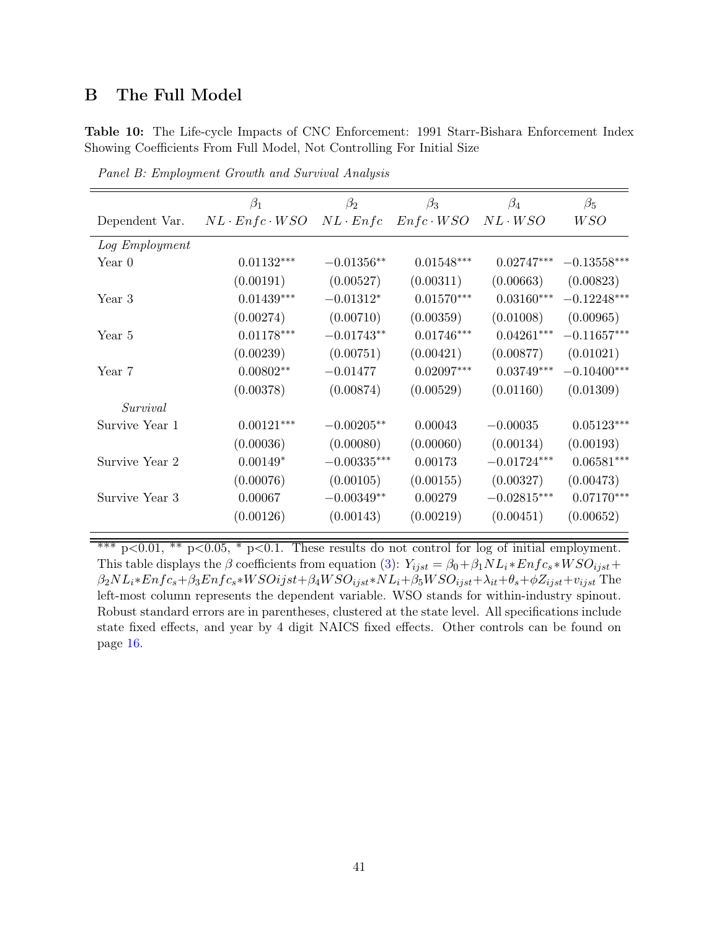# B The Full Model

<span id="page-41-0"></span>Table 10: The Life-cycle Impacts of CNC Enforcement: 1991 Starr-Bishara Enforcement Index Showing Coefficients From Full Model, Not Controlling For Initial Size

|                | $\beta_1$                 | $\beta_2$       | $\beta_3$        | $\beta_4$      | $\beta_5$     |
|----------------|---------------------------|-----------------|------------------|----------------|---------------|
| Dependent Var. | $NL \cdot Enfc \cdot WSO$ | $NL \cdot Enfc$ | $Enfc \cdot WSO$ | $NL \cdot WSO$ | W SO          |
| Log Employment |                           |                 |                  |                |               |
| Year $0$       | $0.01132^{\ast\ast\ast}$  | $-0.01356**$    | $0.01548***$     | $0.02747***$   | $-0.13558***$ |
|                | (0.00191)                 | (0.00527)       | (0.00311)        | (0.00663)      | (0.00823)     |
| Year 3         | $0.01439***$              | $-0.01312*$     | $0.01570***$     | $0.03160***$   | $-0.12248***$ |
|                | (0.00274)                 | (0.00710)       | (0.00359)        | (0.01008)      | (0.00965)     |
| Year 5         | $0.01178^{\ast\ast\ast}$  | $-0.01743**$    | $0.01746***$     | $0.04261***$   | $-0.11657***$ |
|                | (0.00239)                 | (0.00751)       | (0.00421)        | (0.00877)      | (0.01021)     |
| Year 7         | $0.00802**$               | $-0.01477$      | $0.02097***$     | $0.03749***$   | $-0.10400***$ |
|                | (0.00378)                 | (0.00874)       | (0.00529)        | (0.01160)      | (0.01309)     |
| Survival       |                           |                 |                  |                |               |
| Survive Year 1 | $0.00121***$              | $-0.00205**$    | 0.00043          | $-0.00035$     | $0.05123***$  |
|                | (0.00036)                 | (0.00080)       | (0.00060)        | (0.00134)      | (0.00193)     |
| Survive Year 2 | $0.00149*$                | $-0.00335***$   | 0.00173          | $-0.01724***$  | $0.06581***$  |
|                | (0.00076)                 | (0.00105)       | (0.00155)        | (0.00327)      | (0.00473)     |
| Survive Year 3 | 0.00067                   | $-0.00349**$    | 0.00279          | $-0.02815***$  | $0.07170***$  |
|                | (0.00126)                 | (0.00143)       | (0.00219)        | (0.00451)      | (0.00652)     |
|                |                           |                 |                  |                |               |

Panel B: Employment Growth and Survival Analysis

\*\*\*  $p<0.01$ , \*\*  $p<0.05$ , \*  $p<0.1$ . These results do not control for log of initial employment. This table displays the  $\beta$  coefficients from equation [\(3\)](#page-15-2):  $Y_{ijst} = \beta_0 + \beta_1 NL_i * Enfc_s * WSO_{ijst} +$  $\beta_2NL_i*Enfc_s+\beta_3Enfc_s*WSOijst+\beta_4WSO_{ijst}*NL_i+\beta_5WSO_{ijst}+\lambda_{it}+\theta_s+\phi Z_{ijst}+v_{ijst}$  The left-most column represents the dependent variable. WSO stands for within-industry spinout. Robust standard errors are in parentheses, clustered at the state level. All specifications include state fixed effects, and year by 4 digit NAICS fixed effects. Other controls can be found on page [16.](#page-15-2)